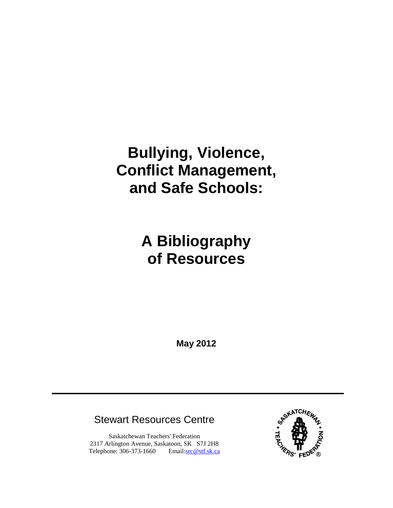# **Bullying, Violence, Conflict Management, and Safe Schools:**

# **A Bibliography of Resources**

**May 2012**

# Stewart Resources Centre

Saskatchewan Teachers' Federation 2317 Arlington Avenue, Saskatoon, SK S7J 2H8 Telephone: 306-373-1660 Email[:src@stf.sk.ca](mailto:src@stf.sk.ca?subject=Bullying,%20Violence,%20Conflict%20Management,%20and%20Safe%20Schools%20Bibliography)

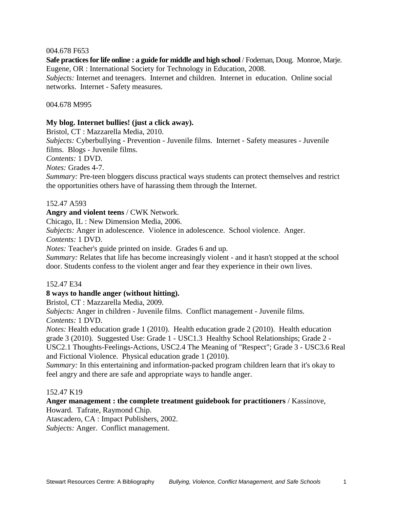#### 004.678 F653

**Safe practices for life online : a guide for middle and high school** / Fodeman, Doug. Monroe, Marje. Eugene, OR : International Society for Technology in Education, 2008.

*Subjects:* Internet and teenagers. Internet and children. Internet in education. Online social networks. Internet - Safety measures.

#### 004.678 M995

#### **My blog. Internet bullies! (just a click away).**

Bristol, CT : Mazzarella Media, 2010.

*Subjects:* Cyberbullying - Prevention - Juvenile films. Internet - Safety measures - Juvenile films. Blogs - Juvenile films.

*Contents:* 1 DVD.

*Notes:* Grades 4-7.

*Summary:* Pre-teen bloggers discuss practical ways students can protect themselves and restrict the opportunities others have of harassing them through the Internet.

#### 152.47 A593

#### **Angry and violent teens** / CWK Network.

Chicago, IL : New Dimension Media, 2006.

*Subjects:* Anger in adolescence. Violence in adolescence. School violence. Anger.

*Contents:* 1 DVD.

*Notes:* Teacher's guide printed on inside. Grades 6 and up.

*Summary:* Relates that life has become increasingly violent - and it hasn't stopped at the school door. Students confess to the violent anger and fear they experience in their own lives.

#### 152.47 E34

#### **8 ways to handle anger (without hitting).**

Bristol, CT : Mazzarella Media, 2009.

*Subjects:* Anger in children - Juvenile films. Conflict management - Juvenile films. *Contents:* 1 DVD.

*Notes:* Health education grade 1 (2010). Health education grade 2 (2010). Health education grade 3 (2010). Suggested Use: Grade 1 - USC1.3 Healthy School Relationships; Grade 2 - USC2.1 Thoughts-Feelings-Actions, USC2.4 The Meaning of "Respect"; Grade 3 - USC3.6 Real and Fictional Violence. Physical education grade 1 (2010).

*Summary:* In this entertaining and information-packed program children learn that it's okay to feel angry and there are safe and appropriate ways to handle anger.

#### 152.47 K19

# **Anger management : the complete treatment guidebook for practitioners** / Kassinove,

Howard. Tafrate, Raymond Chip.

Atascadero, CA : Impact Publishers, 2002.

*Subjects:* Anger. Conflict management.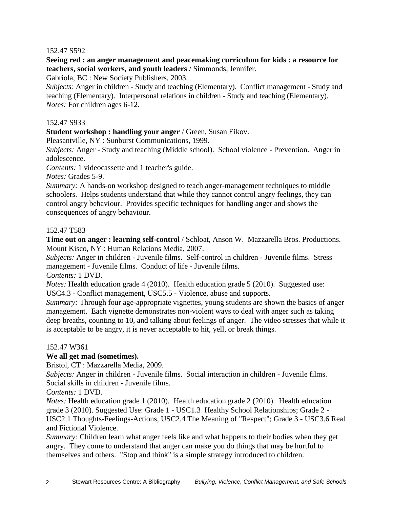# 152.47 S592

**Seeing red : an anger management and peacemaking curriculum for kids : a resource for teachers, social workers, and youth leaders** / Simmonds, Jennifer.

Gabriola, BC : New Society Publishers, 2003.

*Subjects:* Anger in children - Study and teaching (Elementary). Conflict management - Study and teaching (Elementary). Interpersonal relations in children - Study and teaching (Elementary). *Notes:* For children ages 6-12.

# 152.47 S933

**Student workshop : handling your anger** / Green, Susan Eikov.

Pleasantville, NY : Sunburst Communications, 1999.

*Subjects:* Anger - Study and teaching (Middle school). School violence - Prevention. Anger in adolescence.

*Contents:* 1 videocassette and 1 teacher's guide.

*Notes:* Grades 5-9.

*Summary:* A hands-on workshop designed to teach anger-management techniques to middle schoolers. Helps students understand that while they cannot control angry feelings, they can control angry behaviour. Provides specific techniques for handling anger and shows the consequences of angry behaviour.

# 152.47 T583

**Time out on anger : learning self-control** / Schloat, Anson W. Mazzarella Bros. Productions. Mount Kisco, NY : Human Relations Media, 2007.

*Subjects:* Anger in children - Juvenile films. Self-control in children - Juvenile films. Stress management - Juvenile films. Conduct of life - Juvenile films.

*Contents:* 1 DVD.

*Notes:* Health education grade 4 (2010). Health education grade 5 (2010). Suggested use: USC4.3 - Conflict management, USC5.5 - Violence, abuse and supports.

*Summary:* Through four age-appropriate vignettes, young students are shown the basics of anger management. Each vignette demonstrates non-violent ways to deal with anger such as taking deep breaths, counting to 10, and talking about feelings of anger. The video stresses that while it is acceptable to be angry, it is never acceptable to hit, yell, or break things.

#### 152.47 W361

# **We all get mad (sometimes).**

Bristol, CT : Mazzarella Media, 2009.

*Subjects:* Anger in children - Juvenile films. Social interaction in children - Juvenile films. Social skills in children - Juvenile films.

*Contents:* 1 DVD.

*Notes:* Health education grade 1 (2010). Health education grade 2 (2010). Health education grade 3 (2010). Suggested Use: Grade 1 - USC1.3 Healthy School Relationships; Grade 2 - USC2.1 Thoughts-Feelings-Actions, USC2.4 The Meaning of "Respect"; Grade 3 - USC3.6 Real and Fictional Violence.

*Summary:* Children learn what anger feels like and what happens to their bodies when they get angry. They come to understand that anger can make you do things that may be hurtful to themselves and others. "Stop and think" is a simple strategy introduced to children.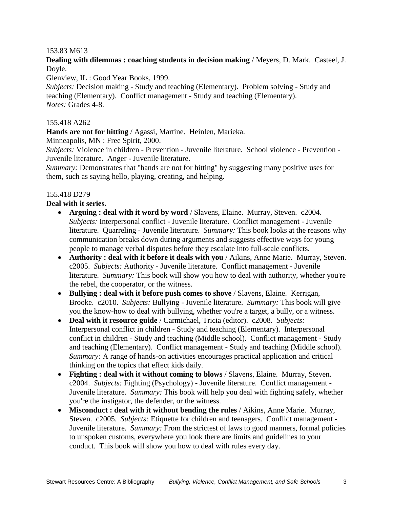# 153.83 M613

**Dealing with dilemmas : coaching students in decision making** / Meyers, D. Mark. Casteel, J. Doyle.

Glenview, IL : Good Year Books, 1999.

*Subjects:* Decision making - Study and teaching (Elementary). Problem solving - Study and teaching (Elementary). Conflict management - Study and teaching (Elementary). *Notes:* Grades 4-8.

# 155.418 A262

**Hands are not for hitting** / Agassi, Martine. Heinlen, Marieka.

Minneapolis, MN : Free Spirit, 2000.

*Subjects:* Violence in children - Prevention - Juvenile literature. School violence - Prevention - Juvenile literature. Anger - Juvenile literature.

*Summary:* Demonstrates that "hands are not for hitting" by suggesting many positive uses for them, such as saying hello, playing, creating, and helping.

#### 155.418 D279

**Deal with it series.**

- **Arguing : deal with it word by word** / Slavens, Elaine. Murray, Steven. c2004. *Subjects:* Interpersonal conflict - Juvenile literature. Conflict management - Juvenile literature. Quarreling - Juvenile literature. *Summary:* This book looks at the reasons why communication breaks down during arguments and suggests effective ways for young people to manage verbal disputes before they escalate into full-scale conflicts.
- **Authority : deal with it before it deals with you** / Aikins, Anne Marie. Murray, Steven. c2005. *Subjects:* Authority - Juvenile literature. Conflict management - Juvenile literature. *Summary:* This book will show you how to deal with authority, whether you're the rebel, the cooperator, or the witness.
- **Bullying : deal with it before push comes to shove** / Slavens, Elaine. Kerrigan, Brooke. c2010. *Subjects:* Bullying - Juvenile literature. *Summary:* This book will give you the know-how to deal with bullying, whether you're a target, a bully, or a witness.
- **Deal with it resource guide** / Carmichael, Tricia (editor). c2008. *Subjects:* Interpersonal conflict in children - Study and teaching (Elementary). Interpersonal conflict in children - Study and teaching (Middle school). Conflict management - Study and teaching (Elementary). Conflict management - Study and teaching (Middle school). *Summary:* A range of hands-on activities encourages practical application and critical thinking on the topics that effect kids daily.
- **Fighting : deal with it without coming to blows** / Slavens, Elaine. Murray, Steven. c2004. *Subjects:* Fighting (Psychology) - Juvenile literature. Conflict management - Juvenile literature. *Summary:* This book will help you deal with fighting safely, whether you're the instigator, the defender, or the witness.
- **Misconduct : deal with it without bending the rules** / Aikins, Anne Marie. Murray, Steven. c2005. *Subjects:* Etiquette for children and teenagers. Conflict management - Juvenile literature. *Summary:* From the strictest of laws to good manners, formal policies to unspoken customs, everywhere you look there are limits and guidelines to your conduct. This book will show you how to deal with rules every day.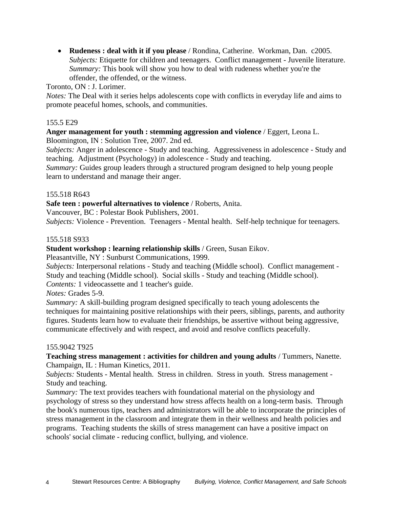**Rudeness : deal with it if you please** / Rondina, Catherine. Workman, Dan. c2005. *Subjects:* Etiquette for children and teenagers. Conflict management - Juvenile literature. *Summary:* This book will show you how to deal with rudeness whether you're the offender, the offended, or the witness.

Toronto, ON : J. Lorimer.

*Notes:* The Deal with it series helps adolescents cope with conflicts in everyday life and aims to promote peaceful homes, schools, and communities.

# 155.5 E29

# **Anger management for youth : stemming aggression and violence** / Eggert, Leona L.

Bloomington, IN : Solution Tree, 2007. 2nd ed.

*Subjects:* Anger in adolescence - Study and teaching. Aggressiveness in adolescence - Study and teaching. Adjustment (Psychology) in adolescence - Study and teaching.

*Summary:* Guides group leaders through a structured program designed to help young people learn to understand and manage their anger.

#### 155.518 R643

**Safe teen : powerful alternatives to violence** / Roberts, Anita.

Vancouver, BC : Polestar Book Publishers, 2001.

*Subjects:* Violence - Prevention. Teenagers - Mental health. Self-help technique for teenagers.

# 155.518 S933

# **Student workshop : learning relationship skills** / Green, Susan Eikov.

Pleasantville, NY : Sunburst Communications, 1999.

*Subjects:* Interpersonal relations - Study and teaching (Middle school). Conflict management - Study and teaching (Middle school). Social skills - Study and teaching (Middle school). *Contents:* 1 videocassette and 1 teacher's guide.

*Notes:* Grades 5-9.

*Summary:* A skill-building program designed specifically to teach young adolescents the techniques for maintaining positive relationships with their peers, siblings, parents, and authority figures. Students learn how to evaluate their friendships, be assertive without being aggressive, communicate effectively and with respect, and avoid and resolve conflicts peacefully.

#### 155.9042 T925

**Teaching stress management : activities for children and young adults** / Tummers, Nanette. Champaign, IL : Human Kinetics, 2011.

*Subjects:* Students - Mental health. Stress in children. Stress in youth. Stress management - Study and teaching.

*Summary:* The text provides teachers with foundational material on the physiology and psychology of stress so they understand how stress affects health on a long-term basis. Through the book's numerous tips, teachers and administrators will be able to incorporate the principles of stress management in the classroom and integrate them in their wellness and health policies and programs. Teaching students the skills of stress management can have a positive impact on schools' social climate - reducing conflict, bullying, and violence.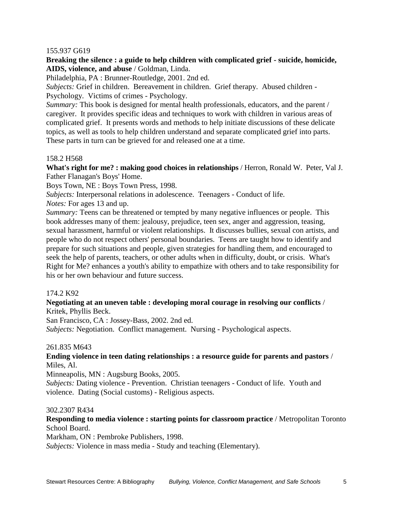#### 155.937 G619

# **Breaking the silence : a guide to help children with complicated grief - suicide, homicide, AIDS, violence, and abuse** / Goldman, Linda.

Philadelphia, PA : Brunner-Routledge, 2001. 2nd ed.

*Subjects:* Grief in children. Bereavement in children. Grief therapy. Abused children - Psychology. Victims of crimes - Psychology.

*Summary:* This book is designed for mental health professionals, educators, and the parent / caregiver. It provides specific ideas and techniques to work with children in various areas of complicated grief. It presents words and methods to help initiate discussions of these delicate topics, as well as tools to help children understand and separate complicated grief into parts. These parts in turn can be grieved for and released one at a time.

# 158.2 H568

**What's right for me? : making good choices in relationships** / Herron, Ronald W. Peter, Val J. Father Flanagan's Boys' Home.

Boys Town, NE : Boys Town Press, 1998.

*Subjects:* Interpersonal relations in adolescence. Teenagers - Conduct of life.

*Notes:* For ages 13 and up.

*Summary:* Teens can be threatened or tempted by many negative influences or people. This book addresses many of them: jealousy, prejudice, teen sex, anger and aggression, teasing, sexual harassment, harmful or violent relationships. It discusses bullies, sexual con artists, and people who do not respect others' personal boundaries. Teens are taught how to identify and prepare for such situations and people, given strategies for handling them, and encouraged to seek the help of parents, teachers, or other adults when in difficulty, doubt, or crisis. What's Right for Me? enhances a youth's ability to empathize with others and to take responsibility for his or her own behaviour and future success.

#### 174.2 K92

#### **Negotiating at an uneven table : developing moral courage in resolving our conflicts** / Kritek, Phyllis Beck.

San Francisco, CA : Jossey-Bass, 2002. 2nd ed.

*Subjects:* Negotiation. Conflict management. Nursing - Psychological aspects.

#### 261.835 M643

### **Ending violence in teen dating relationships : a resource guide for parents and pastors** / Miles, Al.

Minneapolis, MN : Augsburg Books, 2005.

*Subjects:* Dating violence - Prevention. Christian teenagers - Conduct of life. Youth and violence. Dating (Social customs) - Religious aspects.

#### 302.2307 R434

# **Responding to media violence : starting points for classroom practice** / Metropolitan Toronto School Board.

Markham, ON : Pembroke Publishers, 1998.

*Subjects:* Violence in mass media - Study and teaching (Elementary).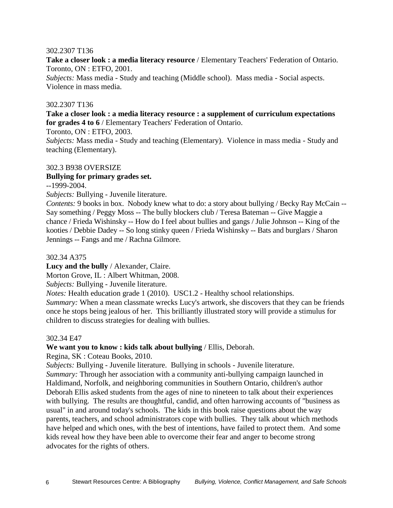#### 302.2307 T136

**Take a closer look : a media literacy resource** / Elementary Teachers' Federation of Ontario. Toronto, ON : ETFO, 2001.

*Subjects:* Mass media - Study and teaching (Middle school). Mass media - Social aspects. Violence in mass media.

#### 302.2307 T136

**Take a closer look : a media literacy resource : a supplement of curriculum expectations for grades 4 to 6** / Elementary Teachers' Federation of Ontario.

Toronto, ON : ETFO, 2003.

*Subjects:* Mass media - Study and teaching (Elementary). Violence in mass media - Study and teaching (Elementary).

#### 302.3 B938 OVERSIZE

#### **Bullying for primary grades set.**

--1999-2004.

*Subjects:* Bullying - Juvenile literature.

*Contents:* 9 books in box. Nobody knew what to do: a story about bullying / Becky Ray McCain -- Say something / Peggy Moss -- The bully blockers club / Teresa Bateman -- Give Maggie a chance / Frieda Wishinsky -- How do I feel about bullies and gangs / Julie Johnson -- King of the kooties / Debbie Dadey -- So long stinky queen / Frieda Wishinsky -- Bats and burglars / Sharon Jennings -- Fangs and me / Rachna Gilmore.

302.34 A375

**Lucy and the bully** / Alexander, Claire.

Morton Grove, IL : Albert Whitman, 2008.

*Subjects:* Bullying - Juvenile literature.

*Notes:* Health education grade 1 (2010). USC1.2 - Healthy school relationships.

*Summary:* When a mean classmate wrecks Lucy's artwork, she discovers that they can be friends once he stops being jealous of her. This brilliantly illustrated story will provide a stimulus for children to discuss strategies for dealing with bullies.

#### 302.34 E47

#### **We want you to know : kids talk about bullying** / Ellis, Deborah.

Regina, SK : Coteau Books, 2010.

*Subjects:* Bullying - Juvenile literature. Bullying in schools - Juvenile literature.

*Summary:* Through her association with a community anti-bullying campaign launched in Haldimand, Norfolk, and neighboring communities in Southern Ontario, children's author Deborah Ellis asked students from the ages of nine to nineteen to talk about their experiences with bullying. The results are thoughtful, candid, and often harrowing accounts of "business as usual" in and around today's schools. The kids in this book raise questions about the way parents, teachers, and school administrators cope with bullies. They talk about which methods have helped and which ones, with the best of intentions, have failed to protect them. And some kids reveal how they have been able to overcome their fear and anger to become strong advocates for the rights of others.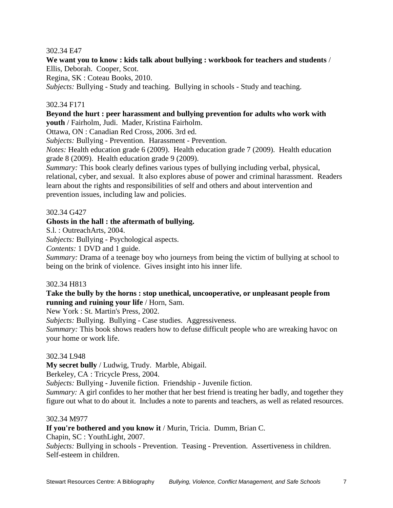### 302.34 E47

**We want you to know : kids talk about bullying : workbook for teachers and students** / Ellis, Deborah. Cooper, Scot.

Regina, SK : Coteau Books, 2010.

*Subjects:* Bullying - Study and teaching. Bullying in schools - Study and teaching.

#### 302.34 F171

#### **Beyond the hurt : peer harassment and bullying prevention for adults who work with youth** / Fairholm, Judi. Mader, Kristina Fairholm.

Ottawa, ON : Canadian Red Cross, 2006. 3rd ed.

*Subjects:* Bullying - Prevention. Harassment - Prevention.

*Notes:* Health education grade 6 (2009). Health education grade 7 (2009). Health education grade 8 (2009). Health education grade 9 (2009).

*Summary:* This book clearly defines various types of bullying including verbal, physical, relational, cyber, and sexual. It also explores abuse of power and criminal harassment. Readers learn about the rights and responsibilities of self and others and about intervention and prevention issues, including law and policies.

#### 302.34 G427

# **Ghosts in the hall : the aftermath of bullying.**

S.l. : OutreachArts, 2004.

*Subjects:* Bullying - Psychological aspects.

*Contents:* 1 DVD and 1 guide.

*Summary:* Drama of a teenage boy who journeys from being the victim of bullying at school to being on the brink of violence. Gives insight into his inner life.

#### 302.34 H813

#### **Take the bully by the horns : stop unethical, uncooperative, or unpleasant people from running and ruining your life** / Horn, Sam.

New York : St. Martin's Press, 2002.

*Subjects:* Bullying. Bullying - Case studies. Aggressiveness.

*Summary:* This book shows readers how to defuse difficult people who are wreaking havoc on your home or work life.

#### 302.34 L948

**My secret bully** / Ludwig, Trudy. Marble, Abigail.

Berkeley, CA : Tricycle Press, 2004.

*Subjects:* Bullying - Juvenile fiction. Friendship - Juvenile fiction.

*Summary:* A girl confides to her mother that her best friend is treating her badly, and together they figure out what to do about it. Includes a note to parents and teachers, as well as related resources.

#### 302.34 M977

**If you're bothered and you know it** / Murin, Tricia. Dumm, Brian C.

Chapin, SC : YouthLight, 2007.

*Subjects:* Bullying in schools - Prevention. Teasing - Prevention. Assertiveness in children. Self-esteem in children.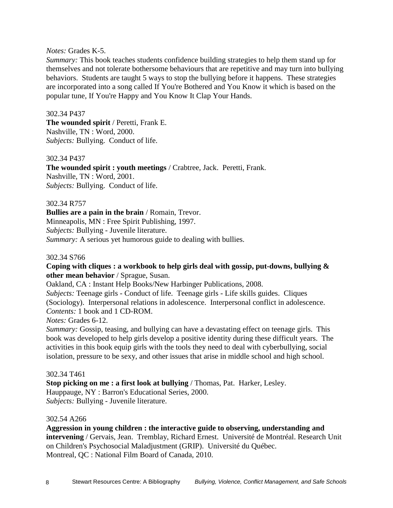#### *Notes:* Grades K-5.

*Summary:* This book teaches students confidence building strategies to help them stand up for themselves and not tolerate bothersome behaviours that are repetitive and may turn into bullying behaviors. Students are taught 5 ways to stop the bullying before it happens. These strategies are incorporated into a song called If You're Bothered and You Know it which is based on the popular tune, If You're Happy and You Know It Clap Your Hands.

#### 302.34 P437

**The wounded spirit** / Peretti, Frank E. Nashville, TN : Word, 2000. *Subjects:* Bullying. Conduct of life.

#### 302.34 P437

**The wounded spirit : youth meetings** / Crabtree, Jack. Peretti, Frank. Nashville, TN : Word, 2001. *Subjects:* Bullying. Conduct of life.

#### 302.34 R757

**Bullies are a pain in the brain** / Romain, Trevor. Minneapolis, MN : Free Spirit Publishing, 1997. *Subjects:* Bullying - Juvenile literature. *Summary:* A serious yet humorous guide to dealing with bullies.

#### 302.34 S766

#### **Coping with cliques : a workbook to help girls deal with gossip, put-downs, bullying & other mean behavior** / Sprague, Susan.

Oakland, CA : Instant Help Books/New Harbinger Publications, 2008.

*Subjects:* Teenage girls - Conduct of life. Teenage girls - Life skills guides. Cliques (Sociology). Interpersonal relations in adolescence. Interpersonal conflict in adolescence. *Contents:* 1 book and 1 CD-ROM.

#### *Notes:* Grades 6-12.

*Summary:* Gossip, teasing, and bullying can have a devastating effect on teenage girls. This book was developed to help girls develop a positive identity during these difficult years. The activities in this book equip girls with the tools they need to deal with cyberbullying, social isolation, pressure to be sexy, and other issues that arise in middle school and high school.

#### 302.34 T461

**Stop picking on me : a first look at bullying** / Thomas, Pat. Harker, Lesley. Hauppauge, NY : Barron's Educational Series, 2000. *Subjects:* Bullying - Juvenile literature.

#### 302.54 A266

**Aggression in young children : the interactive guide to observing, understanding and intervening** / Gervais, Jean. Tremblay, Richard Ernest. Université de Montréal. Research Unit on Children's Psychosocial Maladjustment (GRIP). Université du Québec. Montreal, QC : National Film Board of Canada, 2010.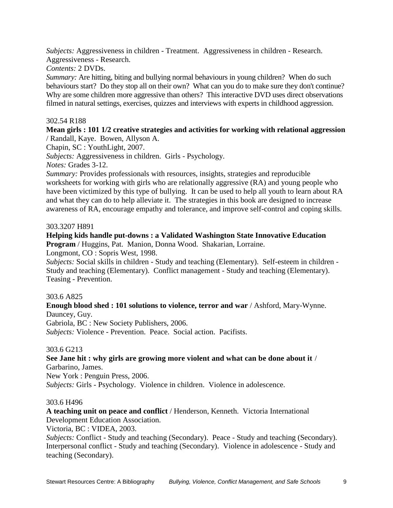*Subjects:* Aggressiveness in children - Treatment. Aggressiveness in children - Research. Aggressiveness - Research.

*Contents:* 2 DVDs.

*Summary:* Are hitting, biting and bullying normal behaviours in young children? When do such behaviours start? Do they stop all on their own? What can you do to make sure they don't continue? Why are some children more aggressive than others? This interactive DVD uses direct observations filmed in natural settings, exercises, quizzes and interviews with experts in childhood aggression.

#### 302.54 R188

#### **Mean girls : 101 1/2 creative strategies and activities for working with relational aggression** / Randall, Kaye. Bowen, Allyson A.

Chapin, SC : YouthLight, 2007.

*Subjects:* Aggressiveness in children. Girls - Psychology.

*Notes:* Grades 3-12.

*Summary:* Provides professionals with resources, insights, strategies and reproducible worksheets for working with girls who are relationally aggressive (RA) and young people who have been victimized by this type of bullying. It can be used to help all youth to learn about RA and what they can do to help alleviate it. The strategies in this book are designed to increase awareness of RA, encourage empathy and tolerance, and improve self-control and coping skills.

#### 303.3207 H891

# **Helping kids handle put-downs : a Validated Washington State Innovative Education**

**Program** / Huggins, Pat. Manion, Donna Wood. Shakarian, Lorraine.

Longmont, CO : Sopris West, 1998.

*Subjects:* Social skills in children - Study and teaching (Elementary). Self-esteem in children - Study and teaching (Elementary). Conflict management - Study and teaching (Elementary). Teasing - Prevention.

#### 303.6 A825

**Enough blood shed : 101 solutions to violence, terror and war** / Ashford, Mary-Wynne. Dauncey, Guy.

Gabriola, BC : New Society Publishers, 2006.

*Subjects:* Violence - Prevention. Peace. Social action. Pacifists.

# 303.6 G213

**See Jane hit : why girls are growing more violent and what can be done about it** / Garbarino, James.

New York : Penguin Press, 2006.

*Subjects:* Girls - Psychology. Violence in children. Violence in adolescence.

#### 303.6 H496

**A teaching unit on peace and conflict** / Henderson, Kenneth. Victoria International Development Education Association.

Victoria, BC : VIDEA, 2003.

*Subjects:* Conflict - Study and teaching (Secondary). Peace - Study and teaching (Secondary). Interpersonal conflict - Study and teaching (Secondary). Violence in adolescence - Study and teaching (Secondary).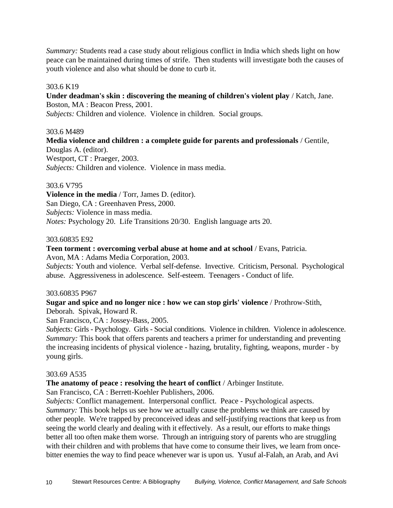*Summary:* Students read a case study about religious conflict in India which sheds light on how peace can be maintained during times of strife. Then students will investigate both the causes of youth violence and also what should be done to curb it.

#### 303.6 K19

#### **Under deadman's skin : discovering the meaning of children's violent play** / Katch, Jane. Boston, MA : Beacon Press, 2001.

*Subjects:* Children and violence. Violence in children. Social groups.

#### 303.6 M489

**Media violence and children : a complete guide for parents and professionals** / Gentile, Douglas A. (editor). Westport, CT : Praeger, 2003. *Subjects:* Children and violence. Violence in mass media.

#### 303.6 V795

**Violence in the media** / Torr, James D. (editor). San Diego, CA : Greenhaven Press, 2000. *Subjects:* Violence in mass media. *Notes:* Psychology 20. Life Transitions 20/30. English language arts 20.

#### 303.60835 E92

#### **Teen torment : overcoming verbal abuse at home and at school** / Evans, Patricia.

Avon, MA : Adams Media Corporation, 2003.

*Subjects:* Youth and violence. Verbal self-defense. Invective. Criticism, Personal. Psychological abuse. Aggressiveness in adolescence. Self-esteem. Teenagers - Conduct of life.

#### 303.60835 P967

#### **Sugar and spice and no longer nice : how we can stop girls' violence** / Prothrow-Stith, Deborah. Spivak, Howard R.

San Francisco, CA : Jossey-Bass, 2005.

*Subjects:* Girls - Psychology. Girls - Social conditions. Violence in children. Violence in adolescence. *Summary:* This book that offers parents and teachers a primer for understanding and preventing the increasing incidents of physical violence - hazing, brutality, fighting, weapons, murder - by young girls.

#### 303.69 A535

#### **The anatomy of peace : resolving the heart of conflict** / Arbinger Institute.

San Francisco, CA : Berrett-Koehler Publishers, 2006.

*Subjects:* Conflict management. Interpersonal conflict. Peace - Psychological aspects. *Summary:* This book helps us see how we actually cause the problems we think are caused by other people. We're trapped by preconceived ideas and self-justifying reactions that keep us from seeing the world clearly and dealing with it effectively. As a result, our efforts to make things better all too often make them worse. Through an intriguing story of parents who are struggling with their children and with problems that have come to consume their lives, we learn from oncebitter enemies the way to find peace whenever war is upon us. Yusuf al-Falah, an Arab, and Avi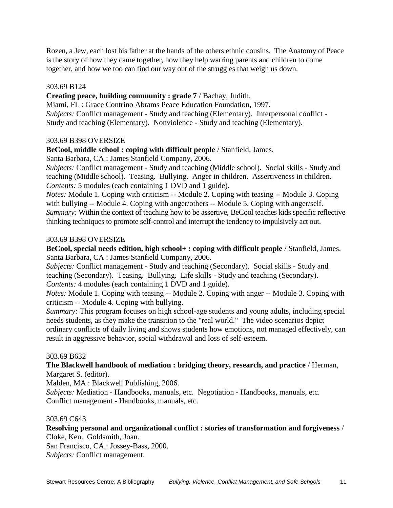Rozen, a Jew, each lost his father at the hands of the others ethnic cousins. The Anatomy of Peace is the story of how they came together, how they help warring parents and children to come together, and how we too can find our way out of the struggles that weigh us down.

# 303.69 B124

**Creating peace, building community : grade 7** / Bachay, Judith.

Miami, FL : Grace Contrino Abrams Peace Education Foundation, 1997.

*Subjects:* Conflict management - Study and teaching (Elementary). Interpersonal conflict - Study and teaching (Elementary). Nonviolence - Study and teaching (Elementary).

# 303.69 B398 OVERSIZE

**BeCool, middle school : coping with difficult people** / Stanfield, James.

Santa Barbara, CA : James Stanfield Company, 2006.

*Subjects:* Conflict management - Study and teaching (Middle school). Social skills - Study and teaching (Middle school). Teasing. Bullying. Anger in children. Assertiveness in children. *Contents:* 5 modules (each containing 1 DVD and 1 guide).

*Notes:* Module 1. Coping with criticism -- Module 2. Coping with teasing -- Module 3. Coping with bullying -- Module 4. Coping with anger/others -- Module 5. Coping with anger/self. *Summary:* Within the context of teaching how to be assertive, BeCool teaches kids specific reflective thinking techniques to promote self-control and interrupt the tendency to impulsively act out.

# 303.69 B398 OVERSIZE

**BeCool, special needs edition, high school+ : coping with difficult people** / Stanfield, James. Santa Barbara, CA : James Stanfield Company, 2006.

*Subjects:* Conflict management - Study and teaching (Secondary). Social skills - Study and teaching (Secondary). Teasing. Bullying. Life skills - Study and teaching (Secondary). *Contents:* 4 modules (each containing 1 DVD and 1 guide).

*Notes:* Module 1. Coping with teasing -- Module 2. Coping with anger -- Module 3. Coping with criticism -- Module 4. Coping with bullying.

*Summary:* This program focuses on high school-age students and young adults, including special needs students, as they make the transition to the "real world." The video scenarios depict ordinary conflicts of daily living and shows students how emotions, not managed effectively, can result in aggressive behavior, social withdrawal and loss of self-esteem.

#### 303.69 B632

# **The Blackwell handbook of mediation : bridging theory, research, and practice** / Herman,

Margaret S. (editor).

Malden, MA : Blackwell Publishing, 2006.

*Subjects:* Mediation - Handbooks, manuals, etc. Negotiation - Handbooks, manuals, etc. Conflict management - Handbooks, manuals, etc.

#### 303.69 C643

**Resolving personal and organizational conflict : stories of transformation and forgiveness** / Cloke, Ken. Goldsmith, Joan.

San Francisco, CA : Jossey-Bass, 2000. *Subjects:* Conflict management.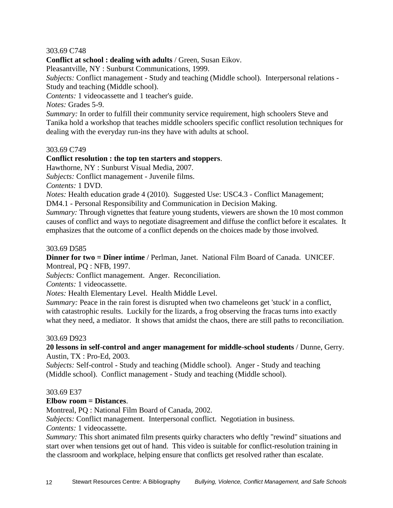# 303.69 C748

**Conflict at school : dealing with adults** / Green, Susan Eikov.

Pleasantville, NY : Sunburst Communications, 1999.

*Subjects:* Conflict management - Study and teaching (Middle school). Interpersonal relations - Study and teaching (Middle school).

*Contents:* 1 videocassette and 1 teacher's guide.

*Notes:* Grades 5-9.

*Summary:* In order to fulfill their community service requirement, high schoolers Steve and Tanika hold a workshop that teaches middle schoolers specific conflict resolution techniques for dealing with the everyday run-ins they have with adults at school.

# 303.69 C749

# **Conflict resolution : the top ten starters and stoppers**.

Hawthorne, NY : Sunburst Visual Media, 2007.

*Subjects:* Conflict management - Juvenile films.

*Contents:* 1 DVD.

*Notes:* Health education grade 4 (2010). Suggested Use: USC4.3 - Conflict Management;

DM4.1 - Personal Responsibility and Communication in Decision Making.

*Summary:* Through vignettes that feature young students, viewers are shown the 10 most common causes of conflict and ways to negotiate disagreement and diffuse the conflict before it escalates. It emphasizes that the outcome of a conflict depends on the choices made by those involved.

#### 303.69 D585

**Dinner for two = Dîner intime** / Perlman, Janet. National Film Board of Canada. UNICEF. Montreal, PQ : NFB, 1997.

*Subjects:* Conflict management. Anger. Reconciliation.

*Contents:* 1 videocassette.

*Notes:* Health Elementary Level. Health Middle Level.

*Summary:* Peace in the rain forest is disrupted when two chameleons get 'stuck' in a conflict, with catastrophic results. Luckily for the lizards, a frog observing the fracas turns into exactly what they need, a mediator. It shows that amidst the chaos, there are still paths to reconciliation.

#### 303.69 D923

# **20 lessons in self-control and anger management for middle-school students** / Dunne, Gerry. Austin, TX : Pro-Ed, 2003.

*Subjects:* Self-control - Study and teaching (Middle school). Anger - Study and teaching (Middle school). Conflict management - Study and teaching (Middle school).

#### 303.69 E37

# **Elbow room = Distances**.

Montreal, PQ : National Film Board of Canada, 2002.

*Subjects:* Conflict management. Interpersonal conflict. Negotiation in business.

*Contents:* 1 videocassette.

*Summary:* This short animated film presents quirky characters who deftly "rewind" situations and start over when tensions get out of hand. This video is suitable for conflict-resolution training in the classroom and workplace, helping ensure that conflicts get resolved rather than escalate.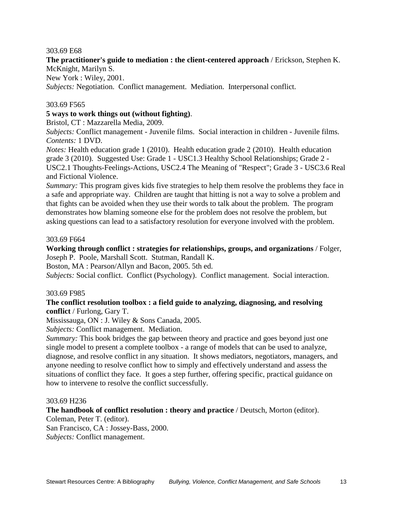#### 303.69 E68

# **The practitioner's guide to mediation : the client-centered approach** / Erickson, Stephen K. McKnight, Marilyn S.

New York : Wiley, 2001.

*Subjects:* Negotiation. Conflict management. Mediation. Interpersonal conflict.

#### 303.69 F565

#### **5 ways to work things out (without fighting)**.

Bristol, CT : Mazzarella Media, 2009.

*Subjects:* Conflict management - Juvenile films. Social interaction in children - Juvenile films. *Contents:* 1 DVD.

*Notes:* Health education grade 1 (2010). Health education grade 2 (2010). Health education grade 3 (2010). Suggested Use: Grade 1 - USC1.3 Healthy School Relationships; Grade 2 - USC2.1 Thoughts-Feelings-Actions, USC2.4 The Meaning of "Respect"; Grade 3 - USC3.6 Real and Fictional Violence.

*Summary:* This program gives kids five strategies to help them resolve the problems they face in a safe and appropriate way. Children are taught that hitting is not a way to solve a problem and that fights can be avoided when they use their words to talk about the problem. The program demonstrates how blaming someone else for the problem does not resolve the problem, but asking questions can lead to a satisfactory resolution for everyone involved with the problem.

#### 303.69 F664

**Working through conflict : strategies for relationships, groups, and organizations** / Folger, Joseph P. Poole, Marshall Scott. Stutman, Randall K.

Boston, MA : Pearson/Allyn and Bacon, 2005. 5th ed.

*Subjects:* Social conflict. Conflict (Psychology). Conflict management. Social interaction.

#### 303.69 F985

#### **The conflict resolution toolbox : a field guide to analyzing, diagnosing, and resolving conflict** / Furlong, Gary T.

Mississauga, ON : J. Wiley & Sons Canada, 2005.

*Subjects:* Conflict management. Mediation.

*Summary:* This book bridges the gap between theory and practice and goes beyond just one single model to present a complete toolbox - a range of models that can be used to analyze, diagnose, and resolve conflict in any situation. It shows mediators, negotiators, managers, and anyone needing to resolve conflict how to simply and effectively understand and assess the situations of conflict they face. It goes a step further, offering specific, practical guidance on how to intervene to resolve the conflict successfully.

#### 303.69 H236

**The handbook of conflict resolution : theory and practice** / Deutsch, Morton (editor).

Coleman, Peter T. (editor).

San Francisco, CA : Jossey-Bass, 2000.

*Subjects:* Conflict management.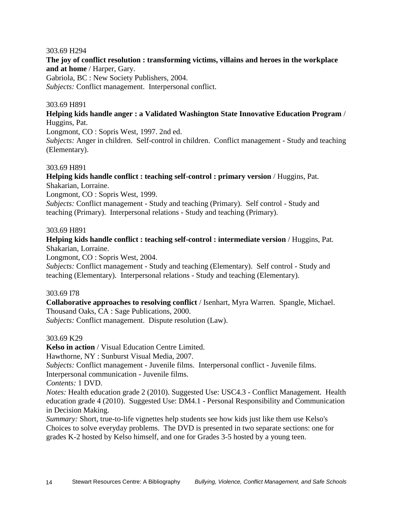#### 303.69 H294

**The joy of conflict resolution : transforming victims, villains and heroes in the workplace and at home** / Harper, Gary.

Gabriola, BC : New Society Publishers, 2004.

*Subjects:* Conflict management. Interpersonal conflict.

#### 303.69 H891

**Helping kids handle anger : a Validated Washington State Innovative Education Program** / Huggins, Pat.

Longmont, CO : Sopris West, 1997. 2nd ed.

*Subjects:* Anger in children. Self-control in children. Conflict management - Study and teaching (Elementary).

#### 303.69 H891

**Helping kids handle conflict : teaching self-control : primary version** / Huggins, Pat. Shakarian, Lorraine.

Longmont, CO : Sopris West, 1999.

*Subjects:* Conflict management - Study and teaching (Primary). Self control - Study and teaching (Primary). Interpersonal relations - Study and teaching (Primary).

#### 303.69 H891

**Helping kids handle conflict : teaching self-control : intermediate version** / Huggins, Pat. Shakarian, Lorraine.

Longmont, CO : Sopris West, 2004.

*Subjects:* Conflict management - Study and teaching (Elementary). Self control - Study and teaching (Elementary). Interpersonal relations - Study and teaching (Elementary).

#### 303.69 I78

**Collaborative approaches to resolving conflict** / Isenhart, Myra Warren. Spangle, Michael. Thousand Oaks, CA : Sage Publications, 2000.

*Subjects:* Conflict management. Dispute resolution (Law).

#### 303.69 K29

**Kelso in action** / Visual Education Centre Limited.

Hawthorne, NY : Sunburst Visual Media, 2007.

*Subjects:* Conflict management - Juvenile films. Interpersonal conflict - Juvenile films.

Interpersonal communication - Juvenile films.

*Contents:* 1 DVD.

*Notes:* Health education grade 2 (2010). Suggested Use: USC4.3 - Conflict Management. Health education grade 4 (2010). Suggested Use: DM4.1 - Personal Responsibility and Communication in Decision Making.

*Summary:* Short, true-to-life vignettes help students see how kids just like them use Kelso's Choices to solve everyday problems. The DVD is presented in two separate sections: one for grades K-2 hosted by Kelso himself, and one for Grades 3-5 hosted by a young teen.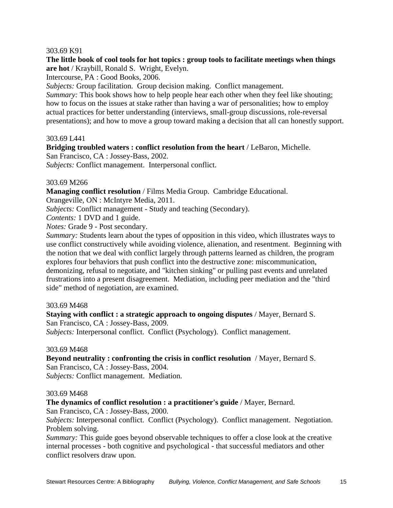#### 303.69 K91

#### **The little book of cool tools for hot topics : group tools to facilitate meetings when things are hot** / Kraybill, Ronald S. Wright, Evelyn.

Intercourse, PA : Good Books, 2006.

*Subjects:* Group facilitation. Group decision making. Conflict management.

*Summary:* This book shows how to help people hear each other when they feel like shouting; how to focus on the issues at stake rather than having a war of personalities; how to employ actual practices for better understanding (interviews, small-group discussions, role-reversal presentations); and how to move a group toward making a decision that all can honestly support.

#### 303.69 L441

**Bridging troubled waters : conflict resolution from the heart** / LeBaron, Michelle.

San Francisco, CA : Jossey-Bass, 2002.

*Subjects:* Conflict management. Interpersonal conflict.

#### 303.69 M266

**Managing conflict resolution** / Films Media Group. Cambridge Educational.

Orangeville, ON : McIntyre Media, 2011.

*Subjects:* Conflict management - Study and teaching (Secondary).

*Contents:* 1 DVD and 1 guide.

*Notes:* Grade 9 - Post secondary.

*Summary:* Students learn about the types of opposition in this video, which illustrates ways to use conflict constructively while avoiding violence, alienation, and resentment. Beginning with the notion that we deal with conflict largely through patterns learned as children, the program explores four behaviors that push conflict into the destructive zone: miscommunication, demonizing, refusal to negotiate, and "kitchen sinking" or pulling past events and unrelated frustrations into a present disagreement. Mediation, including peer mediation and the "third side" method of negotiation, are examined.

#### 303.69 M468

# **Staying with conflict : a strategic approach to ongoing disputes** / Mayer, Bernard S. San Francisco, CA : Jossey-Bass, 2009.

*Subjects:* Interpersonal conflict. Conflict (Psychology). Conflict management.

#### 303.69 M468

**Beyond neutrality : confronting the crisis in conflict resolution** / Mayer, Bernard S. San Francisco, CA : Jossey-Bass, 2004. *Subjects:* Conflict management. Mediation.

#### 303.69 M468

#### **The dynamics of conflict resolution : a practitioner's guide** / Mayer, Bernard.

San Francisco, CA : Jossey-Bass, 2000.

*Subjects:* Interpersonal conflict. Conflict (Psychology). Conflict management. Negotiation. Problem solving.

*Summary:* This guide goes beyond observable techniques to offer a close look at the creative internal processes - both cognitive and psychological - that successful mediators and other conflict resolvers draw upon.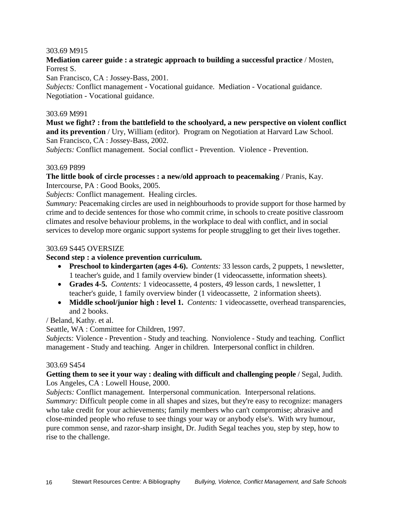#### 303.69 M915

# **Mediation career guide : a strategic approach to building a successful practice** / Mosten, Forrest S.

San Francisco, CA : Jossey-Bass, 2001.

*Subjects:* Conflict management - Vocational guidance. Mediation - Vocational guidance. Negotiation - Vocational guidance.

#### 303.69 M991

### **Must we fight? : from the battlefield to the schoolyard, a new perspective on violent conflict and its prevention** / Ury, William (editor). Program on Negotiation at Harvard Law School. San Francisco, CA : Jossey-Bass, 2002.

*Subjects:* Conflict management. Social conflict - Prevention. Violence - Prevention.

#### 303.69 P899

# **The little book of circle processes : a new/old approach to peacemaking** / Pranis, Kay.

Intercourse, PA : Good Books, 2005.

*Subjects:* Conflict management. Healing circles.

*Summary:* Peacemaking circles are used in neighbourhoods to provide support for those harmed by crime and to decide sentences for those who commit crime, in schools to create positive classroom climates and resolve behaviour problems, in the workplace to deal with conflict, and in social services to develop more organic support systems for people struggling to get their lives together.

#### 303.69 S445 OVERSIZE

#### **Second step : a violence prevention curriculum.**

- **Preschool to kindergarten (ages 4-6).** *Contents:* 33 lesson cards, 2 puppets, 1 newsletter, 1 teacher's guide, and 1 family overview binder (1 videocassette, information sheets).
- **Grades 4-5.** *Contents:* 1 videocassette, 4 posters, 49 lesson cards, 1 newsletter, 1 teacher's guide, 1 family overview binder (1 videocassette, 2 information sheets).
- **Middle school/junior high : level 1.** *Contents:* 1 videocassette, overhead transparencies, and 2 books.

/ Beland, Kathy. et al.

Seattle, WA : Committee for Children, 1997.

*Subjects:* Violence - Prevention - Study and teaching. Nonviolence - Study and teaching. Conflict management - Study and teaching. Anger in children. Interpersonal conflict in children.

#### 303.69 S454

# **Getting them to see it your way : dealing with difficult and challenging people** / Segal, Judith. Los Angeles, CA : Lowell House, 2000.

*Subjects:* Conflict management. Interpersonal communication. Interpersonal relations. *Summary:* Difficult people come in all shapes and sizes, but they're easy to recognize: managers

who take credit for your achievements; family members who can't compromise; abrasive and close-minded people who refuse to see things your way or anybody else's. With wry humour, pure common sense, and razor-sharp insight, Dr. Judith Segal teaches you, step by step, how to rise to the challenge.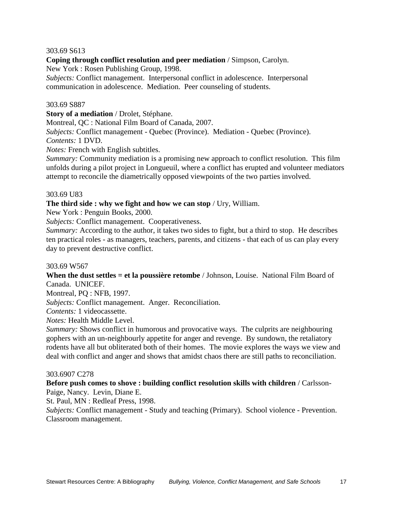#### 303.69 S613

**Coping through conflict resolution and peer mediation** / Simpson, Carolyn.

New York : Rosen Publishing Group, 1998.

*Subjects:* Conflict management. Interpersonal conflict in adolescence. Interpersonal communication in adolescence. Mediation. Peer counseling of students.

#### 303.69 S887

**Story of a mediation** / Drolet, Stéphane.

Montreal, QC : National Film Board of Canada, 2007.

*Subjects:* Conflict management - Quebec (Province). Mediation - Quebec (Province). *Contents:* 1 DVD.

*Notes:* French with English subtitles.

*Summary:* Community mediation is a promising new approach to conflict resolution. This film unfolds during a pilot project in Longueuil, where a conflict has erupted and volunteer mediators attempt to reconcile the diametrically opposed viewpoints of the two parties involved.

#### 303.69 U83

#### **The third side : why we fight and how we can stop** / Ury, William.

New York : Penguin Books, 2000.

*Subjects:* Conflict management. Cooperativeness.

*Summary:* According to the author, it takes two sides to fight, but a third to stop. He describes ten practical roles - as managers, teachers, parents, and citizens - that each of us can play every day to prevent destructive conflict.

#### 303.69 W567

**When the dust settles = et la poussière retombe** / Johnson, Louise. National Film Board of Canada. UNICEF.

Montreal, PQ : NFB, 1997.

*Subjects:* Conflict management. Anger. Reconciliation.

*Contents:* 1 videocassette.

*Notes:* Health Middle Level.

*Summary:* Shows conflict in humorous and provocative ways. The culprits are neighbouring gophers with an un-neighbourly appetite for anger and revenge. By sundown, the retaliatory rodents have all but obliterated both of their homes. The movie explores the ways we view and deal with conflict and anger and shows that amidst chaos there are still paths to reconciliation.

#### 303.6907 C278

#### **Before push comes to shove : building conflict resolution skills with children** / Carlsson-Paige, Nancy. Levin, Diane E.

St. Paul, MN : Redleaf Press, 1998.

*Subjects:* Conflict management - Study and teaching (Primary). School violence - Prevention. Classroom management.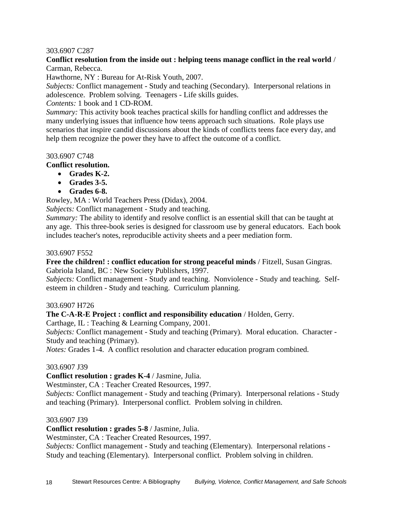#### 303.6907 C287

# **Conflict resolution from the inside out : helping teens manage conflict in the real world** / Carman, Rebecca.

Hawthorne, NY : Bureau for At-Risk Youth, 2007.

*Subjects:* Conflict management - Study and teaching (Secondary). Interpersonal relations in adolescence. Problem solving. Teenagers - Life skills guides.

*Contents:* 1 book and 1 CD-ROM.

*Summary:* This activity book teaches practical skills for handling conflict and addresses the many underlying issues that influence how teens approach such situations. Role plays use scenarios that inspire candid discussions about the kinds of conflicts teens face every day, and help them recognize the power they have to affect the outcome of a conflict.

#### 303.6907 C748

# **Conflict resolution.**

- **Grades K-2.**
- **Grades 3-5.**
- **Grades 6-8.**

Rowley, MA : World Teachers Press (Didax), 2004.

*Subjects:* Conflict management - Study and teaching.

*Summary:* The ability to identify and resolve conflict is an essential skill that can be taught at any age. This three-book series is designed for classroom use by general educators. Each book includes teacher's notes, reproducible activity sheets and a peer mediation form.

#### 303.6907 F552

**Free the children! : conflict education for strong peaceful minds** / Fitzell, Susan Gingras. Gabriola Island, BC : New Society Publishers, 1997.

*Subjects:* Conflict management - Study and teaching. Nonviolence - Study and teaching. Selfesteem in children - Study and teaching. Curriculum planning.

#### 303.6907 H726

**The C-A-R-E Project : conflict and responsibility education** / Holden, Gerry.

Carthage, IL : Teaching & Learning Company, 2001.

*Subjects:* Conflict management - Study and teaching (Primary). Moral education. Character - Study and teaching (Primary).

*Notes:* Grades 1-4. A conflict resolution and character education program combined.

#### 303.6907 J39

#### **Conflict resolution : grades K-4** / Jasmine, Julia.

Westminster, CA : Teacher Created Resources, 1997.

*Subjects:* Conflict management - Study and teaching (Primary). Interpersonal relations - Study and teaching (Primary). Interpersonal conflict. Problem solving in children.

#### 303.6907 J39

**Conflict resolution : grades 5-8** / Jasmine, Julia.

Westminster, CA : Teacher Created Resources, 1997.

*Subjects:* Conflict management - Study and teaching (Elementary). Interpersonal relations - Study and teaching (Elementary). Interpersonal conflict. Problem solving in children.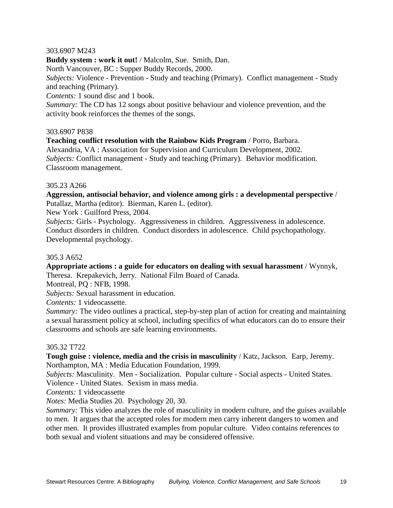#### 303.6907 M243

**Buddy system : work it out!** / Malcolm, Sue. Smith, Dan.

North Vancouver, BC : Supper Buddy Records, 2000.

*Subjects:* Violence - Prevention - Study and teaching (Primary). Conflict management - Study and teaching (Primary).

*Contents:* 1 sound disc and 1 book.

*Summary:* The CD has 12 songs about positive behaviour and violence prevention, and the activity book reinforces the themes of the songs.

#### 303.6907 P838

**Teaching conflict resolution with the Rainbow Kids Program** / Porro, Barbara. Alexandria, VA : Association for Supervision and Curriculum Development, 2002. *Subjects:* Conflict management - Study and teaching (Primary). Behavior modification. Classroom management.

# 305.23 A266

**Aggression, antisocial behavior, and violence among girls : a developmental perspective** / Putallaz, Martha (editor). Bierman, Karen L. (editor).

New York : Guilford Press, 2004.

*Subjects:* Girls - Psychology. Aggressiveness in children. Aggressiveness in adolescence. Conduct disorders in children. Conduct disorders in adolescence. Child psychopathology. Developmental psychology.

# 305.3 A652

**Appropriate actions : a guide for educators on dealing with sexual harassment** / Wynnyk, Theresa. Krepakevich, Jerry. National Film Board of Canada.

Montreal, PQ : NFB, 1998.

*Subjects:* Sexual harassment in education.

*Contents:* 1 videocassette.

*Summary:* The video outlines a practical, step-by-step plan of action for creating and maintaining a sexual harassment policy at school, including specifics of what educators can do to ensure their classrooms and schools are safe learning environments.

#### 305.32 T722

**Tough guise : violence, media and the crisis in masculinity** / Katz, Jackson. Earp, Jeremy. Northampton, MA : Media Education Foundation, 1999.

*Subjects:* Masculinity. Men - Socialization. Popular culture - Social aspects - United States. Violence - United States. Sexism in mass media.

*Contents:* 1 videocassette

*Notes:* Media Studies 20. Psychology 20, 30.

*Summary:* This video analyzes the role of masculinity in modern culture, and the guises available to men. It argues that the accepted roles for modern men carry inherent dangers to women and other men. It provides illustrated examples from popular culture. Video contains references to both sexual and violent situations and may be considered offensive.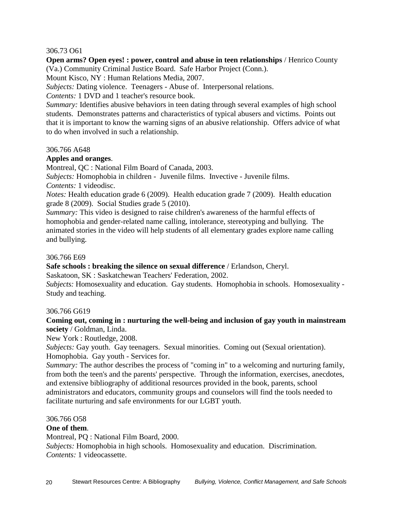#### 306.73 O61

**Open arms? Open eyes! : power, control and abuse in teen relationships** / Henrico County (Va.) Community Criminal Justice Board. Safe Harbor Project (Conn.).

Mount Kisco, NY : Human Relations Media, 2007.

*Subjects:* Dating violence. Teenagers - Abuse of. Interpersonal relations.

*Contents:* 1 DVD and 1 teacher's resource book.

*Summary:* Identifies abusive behaviors in teen dating through several examples of high school students. Demonstrates patterns and characteristics of typical abusers and victims. Points out that it is important to know the warning signs of an abusive relationship. Offers advice of what to do when involved in such a relationship.

#### 306.766 A648

# **Apples and oranges**.

Montreal, QC : National Film Board of Canada, 2003.

*Subjects:* Homophobia in children - Juvenile films. Invective - Juvenile films.

*Contents:* 1 videodisc.

*Notes:* Health education grade 6 (2009). Health education grade 7 (2009). Health education grade 8 (2009). Social Studies grade 5 (2010).

*Summary:* This video is designed to raise children's awareness of the harmful effects of homophobia and gender-related name calling, intolerance, stereotyping and bullying. The animated stories in the video will help students of all elementary grades explore name calling and bullying.

#### 306.766 E69

**Safe schools : breaking the silence on sexual difference** / Erlandson, Cheryl.

Saskatoon, SK : Saskatchewan Teachers' Federation, 2002.

*Subjects:* Homosexuality and education. Gay students. Homophobia in schools. Homosexuality - Study and teaching.

#### 306.766 G619

# **Coming out, coming in : nurturing the well-being and inclusion of gay youth in mainstream society** / Goldman, Linda.

New York : Routledge, 2008.

*Subjects:* Gay youth. Gay teenagers. Sexual minorities. Coming out (Sexual orientation). Homophobia. Gay youth - Services for.

*Summary:* The author describes the process of "coming in" to a welcoming and nurturing family, from both the teen's and the parents' perspective. Through the information, exercises, anecdotes, and extensive bibliography of additional resources provided in the book, parents, school administrators and educators, community groups and counselors will find the tools needed to facilitate nurturing and safe environments for our LGBT youth.

#### 306.766 O58

# **One of them**.

Montreal, PQ : National Film Board, 2000.

*Subjects:* Homophobia in high schools. Homosexuality and education. Discrimination. *Contents:* 1 videocassette.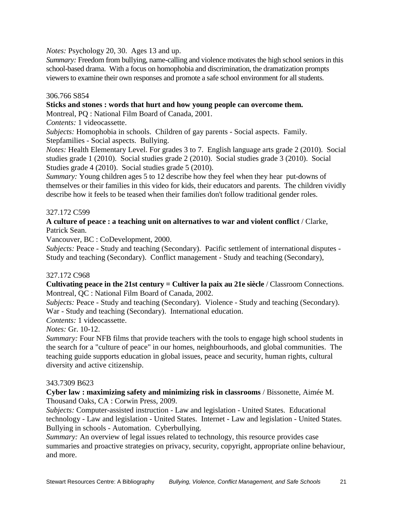*Notes:* Psychology 20, 30. Ages 13 and up.

*Summary:* Freedom from bullying, name-calling and violence motivates the high school seniors in this school-based drama. With a focus on homophobia and discrimination, the dramatization prompts viewers to examine their own responses and promote a safe school environment for all students.

# 306.766 S854

#### **Sticks and stones : words that hurt and how young people can overcome them.**

Montreal, PQ : National Film Board of Canada, 2001.

*Contents:* 1 videocassette.

*Subjects:* Homophobia in schools. Children of gay parents - Social aspects. Family. Stepfamilies - Social aspects. Bullying.

*Notes:* Health Elementary Level. For grades 3 to 7. English language arts grade 2 (2010). Social studies grade 1 (2010). Social studies grade 2 (2010). Social studies grade 3 (2010). Social Studies grade 4 (2010). Social studies grade 5 (2010).

*Summary:* Young children ages 5 to 12 describe how they feel when they hear put-downs of themselves or their families in this video for kids, their educators and parents. The children vividly describe how it feels to be teased when their families don't follow traditional gender roles.

# 327.172 C599

# **A culture of peace : a teaching unit on alternatives to war and violent conflict** / Clarke, Patrick Sean.

Vancouver, BC : CoDevelopment, 2000.

*Subjects:* Peace - Study and teaching (Secondary). Pacific settlement of international disputes - Study and teaching (Secondary). Conflict management - Study and teaching (Secondary),

#### 327.172 C968

**Cultivating peace in the 21st century = Cultiver la paix au 21e siècle** / Classroom Connections. Montreal, QC : National Film Board of Canada, 2002.

*Subjects:* Peace - Study and teaching (Secondary). Violence - Study and teaching (Secondary). War - Study and teaching (Secondary). International education.

*Contents:* 1 videocassette.

*Notes:* Gr. 10-12.

*Summary:* Four NFB films that provide teachers with the tools to engage high school students in the search for a "culture of peace" in our homes, neighbourhoods, and global communities. The teaching guide supports education in global issues, peace and security, human rights, cultural diversity and active citizenship.

#### 343.7309 B623

**Cyber law : maximizing safety and minimizing risk in classrooms** / Bissonette, Aimée M. Thousand Oaks, CA : Corwin Press, 2009.

*Subjects:* Computer-assisted instruction - Law and legislation - United States. Educational technology - Law and legislation - United States. Internet - Law and legislation - United States. Bullying in schools - Automation. Cyberbullying.

*Summary:* An overview of legal issues related to technology, this resource provides case summaries and proactive strategies on privacy, security, copyright, appropriate online behaviour, and more.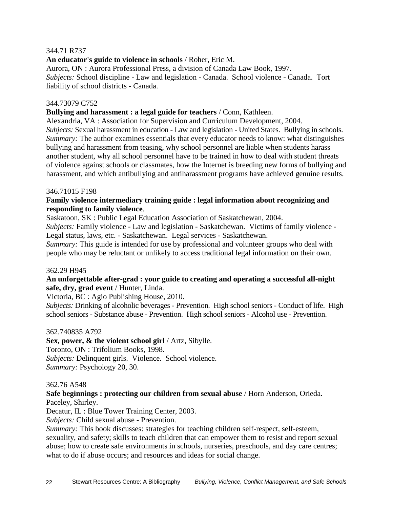# 344.71 R737

**An educator's guide to violence in schools** / Roher, Eric M.

Aurora, ON : Aurora Professional Press, a division of Canada Law Book, 1997. *Subjects:* School discipline - Law and legislation - Canada. School violence - Canada. Tort liability of school districts - Canada.

#### 344.73079 C752

#### **Bullying and harassment : a legal guide for teachers** / Conn, Kathleen.

Alexandria, VA : Association for Supervision and Curriculum Development, 2004. *Subjects:* Sexual harassment in education - Law and legislation - United States. Bullying in schools. *Summary:* The author examines essentials that every educator needs to know: what distinguishes bullying and harassment from teasing, why school personnel are liable when students harass another student, why all school personnel have to be trained in how to deal with student threats of violence against schools or classmates, how the Internet is breeding new forms of bullying and harassment, and which antibullying and antiharassment programs have achieved genuine results.

#### 346.71015 F198

# **Family violence intermediary training guide : legal information about recognizing and responding to family violence**.

Saskatoon, SK : Public Legal Education Association of Saskatchewan, 2004.

*Subjects:* Family violence - Law and legislation - Saskatchewan. Victims of family violence - Legal status, laws, etc. - Saskatchewan. Legal services - Saskatchewan.

*Summary:* This guide is intended for use by professional and volunteer groups who deal with people who may be reluctant or unlikely to access traditional legal information on their own.

#### 362.29 H945

#### **An unforgettable after-grad : your guide to creating and operating a successful all-night safe, dry, grad event** / Hunter, Linda.

Victoria, BC : Agio Publishing House, 2010.

*Subjects:* Drinking of alcoholic beverages - Prevention. High school seniors - Conduct of life. High school seniors - Substance abuse - Prevention. High school seniors - Alcohol use - Prevention.

#### 362.740835 A792

**Sex, power, & the violent school girl** / Artz, Sibylle. Toronto, ON : Trifolium Books, 1998. *Subjects:* Delinquent girls. Violence. School violence.

*Summary:* Psychology 20, 30.

#### 362.76 A548

# **Safe beginnings : protecting our children from sexual abuse** / Horn Anderson, Orieda.

Paceley, Shirley.

Decatur, IL : Blue Tower Training Center, 2003.

*Subjects:* Child sexual abuse - Prevention.

*Summary:* This book discusses: strategies for teaching children self-respect, self-esteem, sexuality, and safety; skills to teach children that can empower them to resist and report sexual abuse; how to create safe environments in schools, nurseries, preschools, and day care centres; what to do if abuse occurs; and resources and ideas for social change.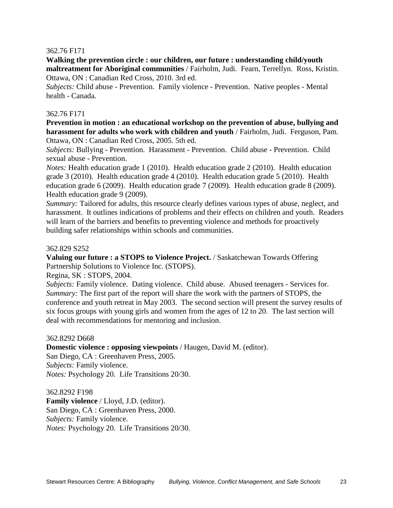#### 362.76 F171

**Walking the prevention circle : our children, our future : understanding child/youth maltreatment for Aboriginal communities** / Fairholm, Judi. Fearn, Terrellyn. Ross, Kristin. Ottawa, ON : Canadian Red Cross, 2010. 3rd ed.

*Subjects:* Child abuse - Prevention. Family violence - Prevention. Native peoples - Mental health - Canada.

#### 362.76 F171

**Prevention in motion : an educational workshop on the prevention of abuse, bullying and harassment for adults who work with children and youth** / Fairholm, Judi. Ferguson, Pam. Ottawa, ON : Canadian Red Cross, 2005. 5th ed.

*Subjects:* Bullying - Prevention. Harassment - Prevention. Child abuse - Prevention. Child sexual abuse - Prevention.

*Notes:* Health education grade 1 (2010). Health education grade 2 (2010). Health education grade 3 (2010). Health education grade 4 (2010). Health education grade 5 (2010). Health education grade 6 (2009). Health education grade 7 (2009). Health education grade 8 (2009). Health education grade 9 (2009).

*Summary:* Tailored for adults, this resource clearly defines various types of abuse, neglect, and harassment. It outlines indications of problems and their effects on children and youth. Readers will learn of the barriers and benefits to preventing violence and methods for proactively building safer relationships within schools and communities.

#### 362.829 S252

**Valuing our future : a STOPS to Violence Project.** / Saskatchewan Towards Offering Partnership Solutions to Violence Inc. (STOPS).

Regina, SK : STOPS, 2004.

*Subjects:* Family violence. Dating violence. Child abuse. Abused teenagers - Services for. *Summary:* The first part of the report will share the work with the partners of STOPS, the conference and youth retreat in May 2003. The second section will present the survey results of six focus groups with young girls and women from the ages of 12 to 20. The last section will deal with recommendations for mentoring and inclusion.

#### 362.8292 D668

**Domestic violence : opposing viewpoints** / Haugen, David M. (editor).

San Diego, CA : Greenhaven Press, 2005. *Subjects:* Family violence. *Notes:* Psychology 20. Life Transitions 20/30.

362.8292 F198 **Family violence** / Lloyd, J.D. (editor). San Diego, CA : Greenhaven Press, 2000. *Subjects:* Family violence. *Notes:* Psychology 20. Life Transitions 20/30.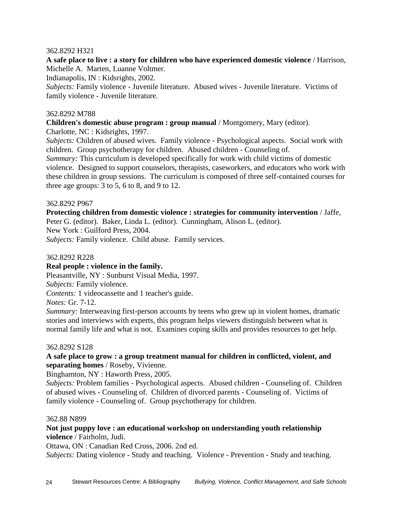# 362.8292 H321

**A safe place to live : a story for children who have experienced domestic violence** / Harrison, Michelle A. Marten, Luanne Voltmer.

Indianapolis, IN : Kidsrights, 2002.

*Subjects:* Family violence - Juvenile literature. Abused wives - Juvenile literature. Victims of family violence - Juvenile literature.

# 362.8292 M788

**Children's domestic abuse program : group manual** / Montgomery, Mary (editor).

Charlotte, NC : Kidsrights, 1997.

*Subjects:* Children of abused wives. Family violence - Psychological aspects. Social work with children. Group psychotherapy for children. Abused children - Counseling of.

*Summary:* This curriculum is developed specifically for work with child victims of domestic violence. Designed to support counselors, therapists, caseworkers, and educators who work with these children in group sessions. The curriculum is composed of three self-contained courses for three age groups:  $3 \text{ to } 5$ ,  $6 \text{ to } 8$ , and  $9 \text{ to } 12$ .

# 362.8292 P967

**Protecting children from domestic violence : strategies for community intervention** / Jaffe,

Peter G. (editor). Baker, Linda L. (editor). Cunningham, Alison L. (editor). New York : Guilford Press, 2004.

*Subjects:* Family violence. Child abuse. Family services.

362.8292 R228

# **Real people : violence in the family.**

Pleasantville, NY : Sunburst Visual Media, 1997.

*Subjects:* Family violence.

*Contents:* 1 videocassette and 1 teacher's guide.

*Notes:* Gr. 7-12.

*Summary:* Interweaving first-person accounts by teens who grew up in violent homes, dramatic stories and interviews with experts, this program helps viewers distinguish between what is normal family life and what is not. Examines coping skills and provides resources to get help.

#### 362.8292 S128

# **A safe place to grow : a group treatment manual for children in conflicted, violent, and separating homes** / Roseby, Vivienne.

Binghamton, NY : Haworth Press, 2005.

*Subjects:* Problem families - Psychological aspects. Abused children - Counseling of. Children of abused wives - Counseling of. Children of divorced parents - Counseling of. Victims of family violence - Counseling of. Group psychotherapy for children.

#### 362.88 N899

# **Not just puppy love : an educational workshop on understanding youth relationship violence** / Fairholm, Judi.

Ottawa, ON : Canadian Red Cross, 2006. 2nd ed.

*Subjects:* Dating violence - Study and teaching. Violence - Prevention - Study and teaching.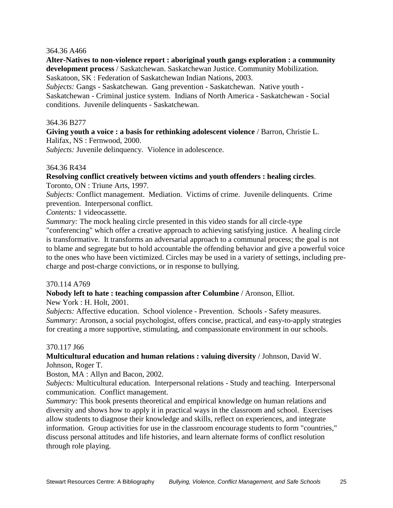#### 364.36 A466

**Alter-Natives to non-violence report : aboriginal youth gangs exploration : a community development process** / Saskatchewan. Saskatchewan Justice. Community Mobilization. Saskatoon, SK : Federation of Saskatchewan Indian Nations, 2003.

*Subjects:* Gangs - Saskatchewan. Gang prevention - Saskatchewan. Native youth - Saskatchewan - Criminal justice system. Indians of North America - Saskatchewan - Social conditions. Juvenile delinquents - Saskatchewan.

#### 364.36 B277

**Giving youth a voice : a basis for rethinking adolescent violence** / Barron, Christie L. Halifax, NS : Fernwood, 2000.

*Subjects:* Juvenile delinquency. Violence in adolescence.

#### 364.36 R434

# **Resolving conflict creatively between victims and youth offenders : healing circles**.

Toronto, ON : Triune Arts, 1997.

*Subjects:* Conflict management. Mediation. Victims of crime. Juvenile delinquents. Crime prevention. Interpersonal conflict.

*Contents:* 1 videocassette.

*Summary:* The mock healing circle presented in this video stands for all circle-type "conferencing" which offer a creative approach to achieving satisfying justice. A healing circle is transformative. It transforms an adversarial approach to a communal process; the goal is not to blame and segregate but to hold accountable the offending behavior and give a powerful voice to the ones who have been victimized. Circles may be used in a variety of settings, including precharge and post-charge convictions, or in response to bullying.

#### 370.114 A769

**Nobody left to hate : teaching compassion after Columbine** / Aronson, Elliot.

New York : H. Holt, 2001.

*Subjects:* Affective education. School violence - Prevention. Schools - Safety measures. *Summary:* Aronson, a social psychologist, offers concise, practical, and easy-to-apply strategies for creating a more supportive, stimulating, and compassionate environment in our schools.

#### 370.117 J66

# **Multicultural education and human relations : valuing diversity** / Johnson, David W. Johnson, Roger T.

Boston, MA : Allyn and Bacon, 2002.

*Subjects:* Multicultural education. Interpersonal relations - Study and teaching. Interpersonal communication. Conflict management.

*Summary:* This book presents theoretical and empirical knowledge on human relations and diversity and shows how to apply it in practical ways in the classroom and school. Exercises allow students to diagnose their knowledge and skills, reflect on experiences, and integrate information. Group activities for use in the classroom encourage students to form "countries," discuss personal attitudes and life histories, and learn alternate forms of conflict resolution through role playing.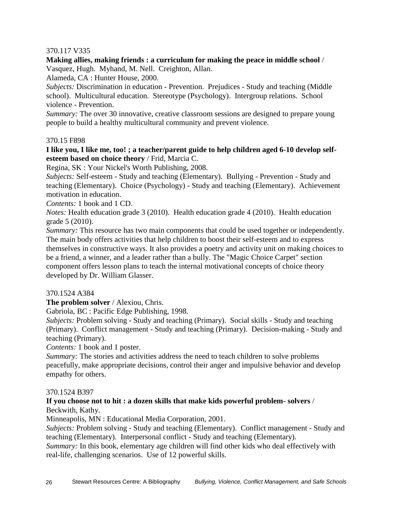# 370.117 V335

**Making allies, making friends : a curriculum for making the peace in middle school** / Vasquez, Hugh. Myhand, M. Nell. Creighton, Allan.

Alameda, CA : Hunter House, 2000.

*Subjects:* Discrimination in education - Prevention. Prejudices - Study and teaching (Middle school). Multicultural education. Stereotype (Psychology). Intergroup relations. School violence - Prevention.

*Summary:* The over 30 innovative, creative classroom sessions are designed to prepare young people to build a healthy multicultural community and prevent violence.

#### 370.15 F898

**I like you, I like me, too! ; a teacher/parent guide to help children aged 6-10 develop selfesteem based on choice theory** / Frid, Marcia C.

Regina, SK : Your Nickel's Worth Publishing, 2008.

*Subjects:* Self-esteem - Study and teaching (Elementary). Bullying - Prevention - Study and teaching (Elementary). Choice (Psychology) - Study and teaching (Elementary). Achievement motivation in education.

*Contents:* 1 book and 1 CD.

*Notes:* Health education grade 3 (2010). Health education grade 4 (2010). Health education grade 5 (2010).

*Summary:* This resource has two main components that could be used together or independently. The main body offers activities that help children to boost their self-esteem and to express themselves in constructive ways. It also provides a poetry and activity unit on making choices to be a friend, a winner, and a leader rather than a bully. The "Magic Choice Carpet" section component offers lesson plans to teach the internal motivational concepts of choice theory developed by Dr. William Glasser.

#### 370.1524 A384

**The problem solver** / Alexiou, Chris.

Gabriola, BC : Pacific Edge Publishing, 1998.

*Subjects:* Problem solving - Study and teaching (Primary). Social skills - Study and teaching (Primary). Conflict management - Study and teaching (Primary). Decision-making - Study and teaching (Primary).

*Contents:* 1 book and 1 poster.

*Summary:* The stories and activities address the need to teach children to solve problems peacefully, make appropriate decisions, control their anger and impulsive behavior and develop empathy for others.

#### 370.1524 B397

# **If you choose not to hit : a dozen skills that make kids powerful problem- solvers** / Beckwith, Kathy.

Minneapolis, MN : Educational Media Corporation, 2001.

*Subjects:* Problem solving - Study and teaching (Elementary). Conflict management - Study and teaching (Elementary). Interpersonal conflict - Study and teaching (Elementary).

*Summary:* In this book, elementary age children will find other kids who deal effectively with real-life, challenging scenarios. Use of 12 powerful skills.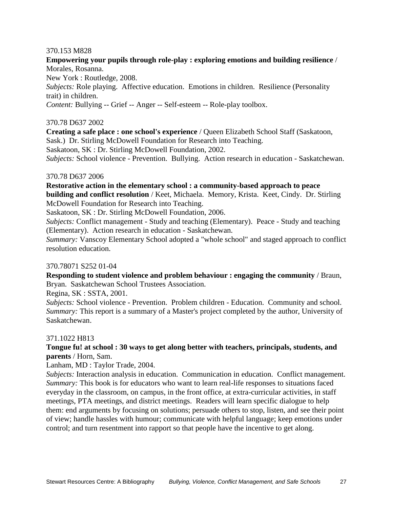### 370.153 M828

# **Empowering your pupils through role-play : exploring emotions and building resilience** / Morales, Rosanna.

New York : Routledge, 2008.

*Subjects:* Role playing. Affective education. Emotions in children. Resilience (Personality trait) in children.

*Content:* Bullying -- Grief -- Anger -- Self-esteem -- Role-play toolbox.

# 370.78 D637 2002

**Creating a safe place : one school's experience** / Queen Elizabeth School Staff (Saskatoon, Sask.) Dr. Stirling McDowell Foundation for Research into Teaching.

Saskatoon, SK : Dr. Stirling McDowell Foundation, 2002.

*Subjects:* School violence - Prevention. Bullying. Action research in education - Saskatchewan.

#### 370.78 D637 2006

**Restorative action in the elementary school : a community-based approach to peace building and conflict resolution** / Keet, Michaela. Memory, Krista. Keet, Cindy. Dr. Stirling McDowell Foundation for Research into Teaching.

Saskatoon, SK : Dr. Stirling McDowell Foundation, 2006.

*Subjects:* Conflict management - Study and teaching (Elementary). Peace - Study and teaching (Elementary). Action research in education - Saskatchewan.

*Summary:* Vanscoy Elementary School adopted a "whole school" and staged approach to conflict resolution education.

#### 370.78071 S252 01-04

**Responding to student violence and problem behaviour : engaging the community** / Braun, Bryan. Saskatchewan School Trustees Association.

Regina, SK : SSTA, 2001.

*Subjects:* School violence - Prevention. Problem children - Education. Community and school. *Summary:* This report is a summary of a Master's project completed by the author, University of Saskatchewan.

#### 371.1022 H813

# **Tongue fu! at school : 30 ways to get along better with teachers, principals, students, and parents** / Horn, Sam.

Lanham, MD : Taylor Trade, 2004.

*Subjects:* Interaction analysis in education. Communication in education. Conflict management. *Summary:* This book is for educators who want to learn real-life responses to situations faced everyday in the classroom, on campus, in the front office, at extra-curricular activities, in staff meetings, PTA meetings, and district meetings. Readers will learn specific dialogue to help them: end arguments by focusing on solutions; persuade others to stop, listen, and see their point of view; handle hassles with humour; communicate with helpful language; keep emotions under control; and turn resentment into rapport so that people have the incentive to get along.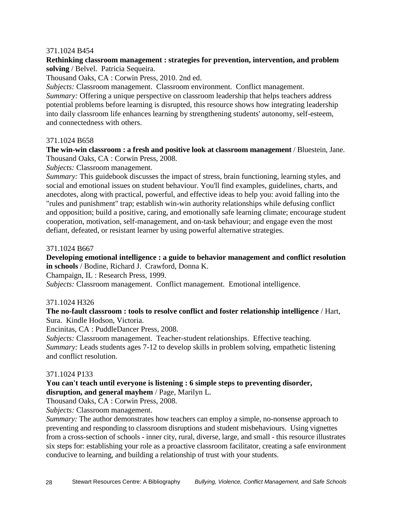# 371.1024 B454

# **Rethinking classroom management : strategies for prevention, intervention, and problem solving** / Belvel. Patricia Sequeira.

Thousand Oaks, CA : Corwin Press, 2010. 2nd ed.

*Subjects:* Classroom management. Classroom environment. Conflict management. *Summary:* Offering a unique perspective on classroom leadership that helps teachers address potential problems before learning is disrupted, this resource shows how integrating leadership into daily classroom life enhances learning by strengthening students' autonomy, self-esteem, and connectedness with others.

#### 371.1024 B658

**The win-win classroom : a fresh and positive look at classroom management** / Bluestein, Jane. Thousand Oaks, CA : Corwin Press, 2008.

*Subjects:* Classroom management.

*Summary:* This guidebook discusses the impact of stress, brain functioning, learning styles, and social and emotional issues on student behaviour. You'll find examples, guidelines, charts, and anecdotes, along with practical, powerful, and effective ideas to help you: avoid falling into the "rules and punishment" trap; establish win-win authority relationships while defusing conflict and opposition; build a positive, caring, and emotionally safe learning climate; encourage student cooperation, motivation, self-management, and on-task behaviour; and engage even the most defiant, defeated, or resistant learner by using powerful alternative strategies.

#### 371.1024 B667

**Developing emotional intelligence : a guide to behavior management and conflict resolution in schools** / Bodine, Richard J. Crawford, Donna K.

Champaign, IL : Research Press, 1999.

*Subjects:* Classroom management. Conflict management. Emotional intelligence.

#### 371.1024 H326

**The no-fault classroom : tools to resolve conflict and foster relationship intelligence** / Hart, Sura. Kindle Hodson, Victoria.

Encinitas, CA : PuddleDancer Press, 2008.

*Subjects:* Classroom management. Teacher-student relationships. Effective teaching. *Summary:* Leads students ages 7-12 to develop skills in problem solving, empathetic listening and conflict resolution.

#### 371.1024 P133

#### **You can't teach until everyone is listening : 6 simple steps to preventing disorder, disruption, and general mayhem** / Page, Marilyn L.

Thousand Oaks, CA : Corwin Press, 2008.

*Subjects:* Classroom management.

*Summary:* The author demonstrates how teachers can employ a simple, no-nonsense approach to preventing and responding to classroom disruptions and student misbehaviours. Using vignettes from a cross-section of schools - inner city, rural, diverse, large, and small - this resource illustrates six steps for: establishing your role as a proactive classroom facilitator, creating a safe environment conducive to learning, and building a relationship of trust with your students.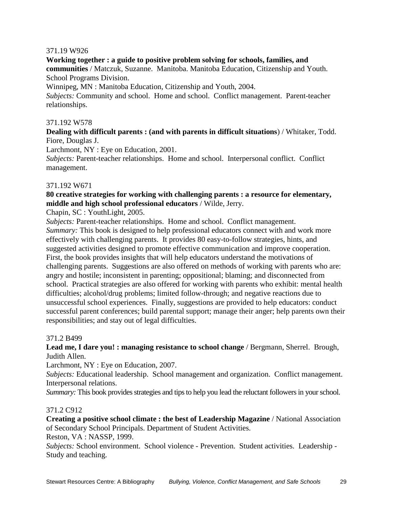# 371.19 W926

**Working together : a guide to positive problem solving for schools, families, and communities** / Matczuk, Suzanne. Manitoba. Manitoba Education, Citizenship and Youth. School Programs Division.

Winnipeg, MN : Manitoba Education, Citizenship and Youth, 2004.

*Subjects:* Community and school. Home and school. Conflict management. Parent-teacher relationships.

#### 371.192 W578

**Dealing with difficult parents : (and with parents in difficult situations**) / Whitaker, Todd. Fiore, Douglas J.

Larchmont, NY : Eye on Education, 2001.

*Subjects:* Parent-teacher relationships. Home and school. Interpersonal conflict. Conflict management.

#### 371.192 W671

# **80 creative strategies for working with challenging parents : a resource for elementary, middle and high school professional educators** / Wilde, Jerry.

Chapin, SC : YouthLight, 2005.

*Subjects:* Parent-teacher relationships. Home and school. Conflict management. *Summary:* This book is designed to help professional educators connect with and work more effectively with challenging parents. It provides 80 easy-to-follow strategies, hints, and suggested activities designed to promote effective communication and improve cooperation. First, the book provides insights that will help educators understand the motivations of challenging parents. Suggestions are also offered on methods of working with parents who are: angry and hostile; inconsistent in parenting; oppositional; blaming; and disconnected from school. Practical strategies are also offered for working with parents who exhibit: mental health difficulties; alcohol/drug problems; limited follow-through; and negative reactions due to unsuccessful school experiences. Finally, suggestions are provided to help educators: conduct successful parent conferences; build parental support; manage their anger; help parents own their responsibilities; and stay out of legal difficulties.

#### 371.2 B499

**Lead me, I dare you! : managing resistance to school change** / Bergmann, Sherrel. Brough, Judith Allen.

Larchmont, NY : Eye on Education, 2007.

*Subjects:* Educational leadership. School management and organization. Conflict management. Interpersonal relations.

*Summary:* This book provides strategies and tips to help you lead the reluctant followers in your school.

# 371.2 C912

**Creating a positive school climate : the best of Leadership Magazine** / National Association of Secondary School Principals. Department of Student Activities.

Reston, VA : NASSP, 1999.

*Subjects:* School environment. School violence - Prevention. Student activities. Leadership - Study and teaching.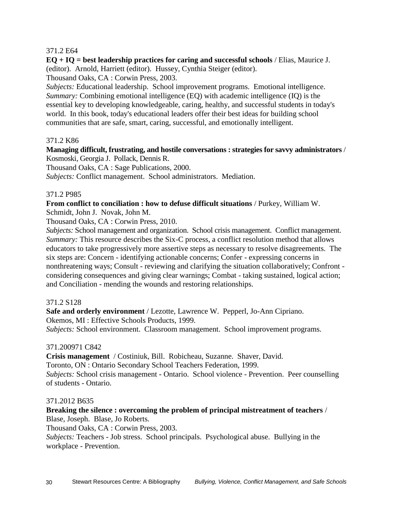# 371.2 E64

**EQ + IQ = best leadership practices for caring and successful schools** / Elias, Maurice J. (editor). Arnold, Harriett (editor). Hussey, Cynthia Steiger (editor).

Thousand Oaks, CA : Corwin Press, 2003.

*Subjects:* Educational leadership. School improvement programs. Emotional intelligence. *Summary:* Combining emotional intelligence (EQ) with academic intelligence (IQ) is the essential key to developing knowledgeable, caring, healthy, and successful students in today's world. In this book, today's educational leaders offer their best ideas for building school communities that are safe, smart, caring, successful, and emotionally intelligent.

#### 371.2 K86

# **Managing difficult, frustrating, and hostile conversations : strategies for savvy administrators** / Kosmoski, Georgia J. Pollack, Dennis R.

Thousand Oaks, CA : Sage Publications, 2000.

*Subjects:* Conflict management. School administrators. Mediation.

#### 371.2 P985

# **From conflict to conciliation : how to defuse difficult situations** / Purkey, William W. Schmidt, John J. Novak, John M.

Thousand Oaks, CA : Corwin Press, 2010.

*Subjects:* School management and organization. School crisis management. Conflict management. *Summary:* This resource describes the Six-C process, a conflict resolution method that allows educators to take progressively more assertive steps as necessary to resolve disagreements. The six steps are: Concern - identifying actionable concerns; Confer - expressing concerns in nonthreatening ways; Consult - reviewing and clarifying the situation collaboratively; Confront considering consequences and giving clear warnings; Combat - taking sustained, logical action; and Conciliation - mending the wounds and restoring relationships.

#### 371.2 S128

**Safe and orderly environment** / Lezotte, Lawrence W. Pepperl, Jo-Ann Cipriano.

Okemos, MI : Effective Schools Products, 1999.

*Subjects:* School environment. Classroom management. School improvement programs.

#### 371.200971 C842

**Crisis management** / Costiniuk, Bill. Robicheau, Suzanne. Shaver, David. Toronto, ON : Ontario Secondary School Teachers Federation, 1999. *Subjects:* School crisis management - Ontario. School violence - Prevention. Peer counselling of students - Ontario.

#### 371.2012 B635

# **Breaking the silence : overcoming the problem of principal mistreatment of teachers** / Blase, Joseph. Blase, Jo Roberts.

Thousand Oaks, CA : Corwin Press, 2003.

*Subjects:* Teachers - Job stress. School principals. Psychological abuse. Bullying in the workplace - Prevention.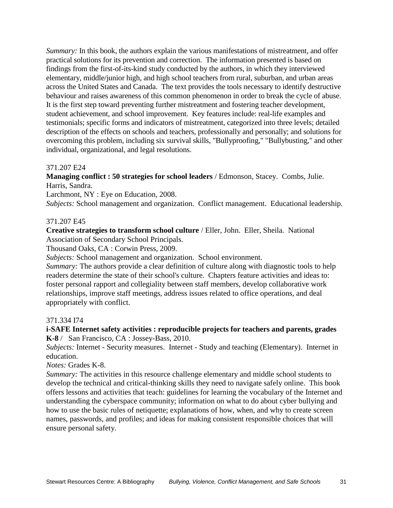*Summary:* In this book, the authors explain the various manifestations of mistreatment, and offer practical solutions for its prevention and correction. The information presented is based on findings from the first-of-its-kind study conducted by the authors, in which they interviewed elementary, middle/junior high, and high school teachers from rural, suburban, and urban areas across the United States and Canada. The text provides the tools necessary to identify destructive behaviour and raises awareness of this common phenomenon in order to break the cycle of abuse. It is the first step toward preventing further mistreatment and fostering teacher development, student achievement, and school improvement. Key features include: real-life examples and testimonials; specific forms and indicators of mistreatment, categorized into three levels; detailed description of the effects on schools and teachers, professionally and personally; and solutions for overcoming this problem, including six survival skills, "Bullyproofing," "Bullybusting," and other individual, organizational, and legal resolutions.

#### 371.207 E24

**Managing conflict : 50 strategies for school leaders** / Edmonson, Stacey. Combs, Julie. Harris, Sandra.

Larchmont, NY : Eye on Education, 2008.

*Subjects:* School management and organization. Conflict management. Educational leadership.

#### 371.207 E45

**Creative strategies to transform school culture** / Eller, John. Eller, Sheila. National Association of Secondary School Principals.

Thousand Oaks, CA : Corwin Press, 2009.

*Subjects:* School management and organization. School environment.

*Summary:* The authors provide a clear definition of culture along with diagnostic tools to help readers determine the state of their school's culture. Chapters feature activities and ideas to: foster personal rapport and collegiality between staff members, develop collaborative work relationships, improve staff meetings, address issues related to office operations, and deal appropriately with conflict.

#### 371.334 I74

#### **i-SAFE Internet safety activities : reproducible projects for teachers and parents, grades K-8** / San Francisco, CA : Jossey-Bass, 2010.

*Subjects:* Internet - Security measures. Internet - Study and teaching (Elementary). Internet in education.

*Notes:* Grades K-8.

*Summary:* The activities in this resource challenge elementary and middle school students to develop the technical and critical-thinking skills they need to navigate safely online. This book offers lessons and activities that teach: guidelines for learning the vocabulary of the Internet and understanding the cyberspace community; information on what to do about cyber bullying and how to use the basic rules of netiquette; explanations of how, when, and why to create screen names, passwords, and profiles; and ideas for making consistent responsible choices that will ensure personal safety.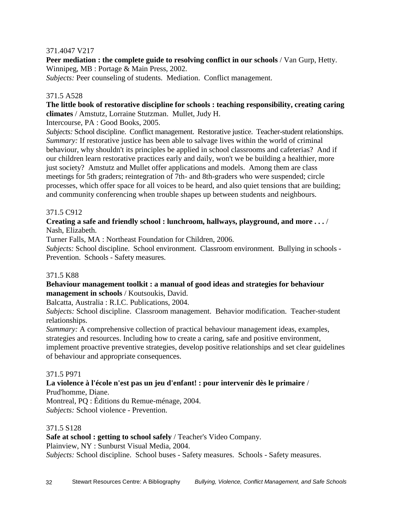# 371.4047 V217

**Peer mediation : the complete guide to resolving conflict in our schools / Van Gurp, Hetty.** Winnipeg, MB : Portage & Main Press, 2002.

*Subjects:* Peer counseling of students. Mediation. Conflict management.

# 371.5 A528

**The little book of restorative discipline for schools : teaching responsibility, creating caring climates** / Amstutz, Lorraine Stutzman. Mullet, Judy H.

Intercourse, PA : Good Books, 2005.

*Subjects:* School discipline. Conflict management. Restorative justice. Teacher-student relationships. *Summary:* If restorative justice has been able to salvage lives within the world of criminal behaviour, why shouldn't its principles be applied in school classrooms and cafeterias? And if our children learn restorative practices early and daily, won't we be building a healthier, more just society? Amstutz and Mullet offer applications and models. Among them are class meetings for 5th graders; reintegration of 7th- and 8th-graders who were suspended; circle processes, which offer space for all voices to be heard, and also quiet tensions that are building; and community conferencing when trouble shapes up between students and neighbours.

# 371.5 C912

# **Creating a safe and friendly school : lunchroom, hallways, playground, and more . . .** / Nash, Elizabeth.

Turner Falls, MA : Northeast Foundation for Children, 2006.

*Subjects:* School discipline. School environment. Classroom environment. Bullying in schools - Prevention. Schools - Safety measures.

#### 371.5 K88

# **Behaviour management toolkit : a manual of good ideas and strategies for behaviour management in schools** / Koutsoukis, David.

Balcatta, Australia : R.I.C. Publications, 2004.

*Subjects:* School discipline. Classroom management. Behavior modification. Teacher-student relationships.

*Summary:* A comprehensive collection of practical behaviour management ideas, examples, strategies and resources. Including how to create a caring, safe and positive environment, implement proactive preventive strategies, develop positive relationships and set clear guidelines of behaviour and appropriate consequences.

#### 371.5 P971

# **La violence à l'école n'est pas un jeu d'enfant! : pour intervenir dès le primaire** /

Prud'homme, Diane.

Montreal, PQ : Éditions du Remue-ménage, 2004. *Subjects:* School violence - Prevention.

#### 371.5 S128

**Safe at school : getting to school safely** / Teacher's Video Company.

Plainview, NY : Sunburst Visual Media, 2004.

*Subjects:* School discipline. School buses - Safety measures. Schools - Safety measures.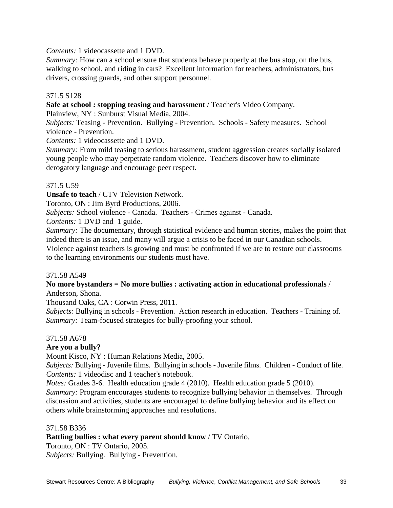*Contents:* 1 videocassette and 1 DVD.

*Summary:* How can a school ensure that students behave properly at the bus stop, on the bus, walking to school, and riding in cars? Excellent information for teachers, administrators, bus drivers, crossing guards, and other support personnel.

# 371.5 S128

**Safe at school : stopping teasing and harassment** / Teacher's Video Company.

Plainview, NY : Sunburst Visual Media, 2004.

*Subjects:* Teasing - Prevention. Bullying - Prevention. Schools - Safety measures. School violence - Prevention.

*Contents:* 1 videocassette and 1 DVD.

*Summary:* From mild teasing to serious harassment, student aggression creates socially isolated young people who may perpetrate random violence. Teachers discover how to eliminate derogatory language and encourage peer respect.

# 371.5 U59

**Unsafe to teach** / CTV Television Network.

Toronto, ON : Jim Byrd Productions, 2006.

*Subjects:* School violence - Canada. Teachers - Crimes against - Canada.

*Contents:* 1 DVD and 1 guide.

*Summary:* The documentary, through statistical evidence and human stories, makes the point that indeed there is an issue, and many will argue a crisis to be faced in our Canadian schools.

Violence against teachers is growing and must be confronted if we are to restore our classrooms to the learning environments our students must have.

#### 371.58 A549

# **No more bystanders = No more bullies : activating action in educational professionals** / Anderson, Shona.

Thousand Oaks, CA : Corwin Press, 2011.

*Subjects:* Bullying in schools - Prevention. Action research in education. Teachers - Training of. *Summary:* Team-focused strategies for bully-proofing your school.

#### 371.58 A678

# **Are you a bully?**

Mount Kisco, NY : Human Relations Media, 2005.

*Subjects:* Bullying - Juvenile films. Bullying in schools - Juvenile films. Children - Conduct of life. *Contents:* 1 videodisc and 1 teacher's notebook.

*Notes:* Grades 3-6. Health education grade 4 (2010). Health education grade 5 (2010). *Summary:* Program encourages students to recognize bullying behavior in themselves. Through discussion and activities, students are encouraged to define bullying behavior and its effect on others while brainstorming approaches and resolutions.

#### 371.58 B336

# **Battling bullies : what every parent should know** / TV Ontario.

Toronto, ON : TV Ontario, 2005. *Subjects:* Bullying. Bullying - Prevention.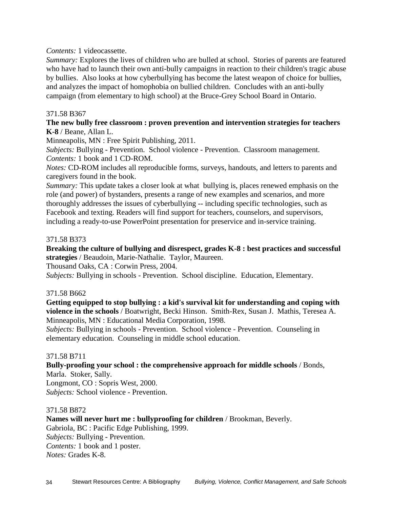*Contents:* 1 videocassette.

*Summary:* Explores the lives of children who are bulled at school. Stories of parents are featured who have had to launch their own anti-bully campaigns in reaction to their children's tragic abuse by bullies. Also looks at how cyberbullying has become the latest weapon of choice for bullies, and analyzes the impact of homophobia on bullied children. Concludes with an anti-bully campaign (from elementary to high school) at the Bruce-Grey School Board in Ontario.

#### 371.58 B367

#### **The new bully free classroom : proven prevention and intervention strategies for teachers K-8** / Beane, Allan L.

Minneapolis, MN : Free Spirit Publishing, 2011.

*Subjects:* Bullying - Prevention. School violence - Prevention. Classroom management. *Contents:* 1 book and 1 CD-ROM.

*Notes:* CD-ROM includes all reproducible forms, surveys, handouts, and letters to parents and caregivers found in the book.

*Summary:* This update takes a closer look at what bullying is, places renewed emphasis on the role (and power) of bystanders, presents a range of new examples and scenarios, and more thoroughly addresses the issues of cyberbullying -- including specific technologies, such as Facebook and texting. Readers will find support for teachers, counselors, and supervisors, including a ready-to-use PowerPoint presentation for preservice and in-service training.

#### 371.58 B373

**Breaking the culture of bullying and disrespect, grades K-8 : best practices and successful strategies** / Beaudoin, Marie-Nathalie. Taylor, Maureen.

Thousand Oaks, CA : Corwin Press, 2004.

*Subjects:* Bullying in schools - Prevention. School discipline. Education, Elementary.

#### 371.58 B662

**Getting equipped to stop bullying : a kid's survival kit for understanding and coping with violence in the schools** / Boatwright, Becki Hinson. Smith-Rex, Susan J. Mathis, Teresea A. Minneapolis, MN : Educational Media Corporation, 1998.

*Subjects:* Bullying in schools - Prevention. School violence - Prevention. Counseling in elementary education. Counseling in middle school education.

#### 371.58 B711

**Bully-proofing your school : the comprehensive approach for middle schools** / Bonds, Marla. Stoker, Sally. Longmont, CO : Sopris West, 2000.

*Subjects:* School violence - Prevention.

#### 371.58 B872

**Names will never hurt me : bullyproofing for children** / Brookman, Beverly. Gabriola, BC : Pacific Edge Publishing, 1999. *Subjects:* Bullying - Prevention. *Contents:* 1 book and 1 poster. *Notes:* Grades K-8.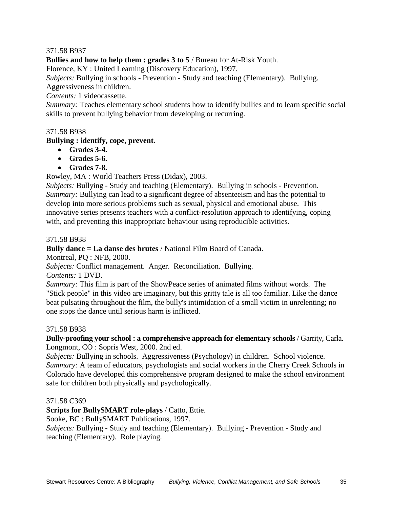# 371.58 B937

**Bullies and how to help them : grades 3 to 5** / Bureau for At-Risk Youth.

Florence, KY : United Learning (Discovery Education), 1997.

*Subjects:* Bullying in schools - Prevention - Study and teaching (Elementary). Bullying. Aggressiveness in children.

*Contents:* 1 videocassette.

*Summary:* Teaches elementary school students how to identify bullies and to learn specific social skills to prevent bullying behavior from developing or recurring.

#### 371.58 B938

#### **Bullying : identify, cope, prevent.**

- **Grades 3-4.**
- **Grades 5-6.**
- **Grades 7-8.**

Rowley, MA : World Teachers Press (Didax), 2003.

*Subjects:* Bullying - Study and teaching (Elementary). Bullying in schools - Prevention. *Summary:* Bullying can lead to a significant degree of absenteeism and has the potential to develop into more serious problems such as sexual, physical and emotional abuse. This innovative series presents teachers with a conflict-resolution approach to identifying, coping with, and preventing this inappropriate behaviour using reproducible activities.

371.58 B938

**Bully dance = La danse des brutes** / National Film Board of Canada.

Montreal, PQ : NFB, 2000.

*Subjects:* Conflict management. Anger. Reconciliation. Bullying.

*Contents:* 1 DVD.

*Summary:* This film is part of the ShowPeace series of animated films without words. The "Stick people" in this video are imaginary, but this gritty tale is all too familiar. Like the dance beat pulsating throughout the film, the bully's intimidation of a small victim in unrelenting; no one stops the dance until serious harm is inflicted.

#### 371.58 B938

**Bully-proofing your school : a comprehensive approach for elementary schools** / Garrity, Carla. Longmont, CO : Sopris West, 2000. 2nd ed.

*Subjects:* Bullying in schools. Aggressiveness (Psychology) in children. School violence. *Summary:* A team of educators, psychologists and social workers in the Cherry Creek Schools in Colorado have developed this comprehensive program designed to make the school environment safe for children both physically and psychologically.

#### 371.58 C369

**Scripts for BullySMART role-plays** / Catto, Ettie.

Sooke, BC : BullySMART Publications, 1997.

*Subjects:* Bullying - Study and teaching (Elementary). Bullying - Prevention - Study and teaching (Elementary). Role playing.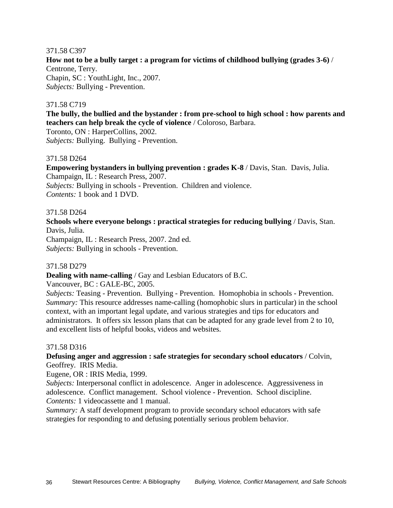#### 371.58 C397

**How not to be a bully target : a program for victims of childhood bullying (grades 3-6)** / Centrone, Terry. Chapin, SC : YouthLight, Inc., 2007. *Subjects:* Bullying - Prevention.

#### 371.58 C719

**The bully, the bullied and the bystander : from pre-school to high school : how parents and teachers can help break the cycle of violence** / Coloroso, Barbara.

Toronto, ON : HarperCollins, 2002.

*Subjects:* Bullying. Bullying - Prevention.

# 371.58 D264

**Empowering bystanders in bullying prevention : grades K-8** / Davis, Stan. Davis, Julia. Champaign, IL : Research Press, 2007. *Subjects:* Bullying in schools - Prevention. Children and violence. *Contents:* 1 book and 1 DVD.

#### 371.58 D264

**Schools where everyone belongs : practical strategies for reducing bullying** / Davis, Stan. Davis, Julia.

Champaign, IL : Research Press, 2007. 2nd ed. *Subjects:* Bullying in schools - Prevention.

#### 371.58 D279

**Dealing with name-calling** / Gay and Lesbian Educators of B.C.

Vancouver, BC : GALE-BC, 2005.

*Subjects:* Teasing - Prevention. Bullying - Prevention. Homophobia in schools - Prevention. *Summary:* This resource addresses name-calling (homophobic slurs in particular) in the school context, with an important legal update, and various strategies and tips for educators and administrators. It offers six lesson plans that can be adapted for any grade level from 2 to 10, and excellent lists of helpful books, videos and websites.

#### 371.58 D316

**Defusing anger and aggression : safe strategies for secondary school educators** / Colvin, Geoffrey. IRIS Media.

Eugene, OR : IRIS Media, 1999.

*Subjects:* Interpersonal conflict in adolescence. Anger in adolescence. Aggressiveness in adolescence. Conflict management. School violence - Prevention. School discipline. *Contents:* 1 videocassette and 1 manual.

*Summary:* A staff development program to provide secondary school educators with safe strategies for responding to and defusing potentially serious problem behavior.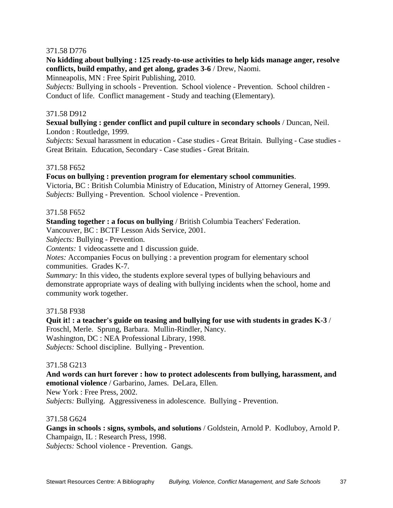# 371.58 D776

**No kidding about bullying : 125 ready-to-use activities to help kids manage anger, resolve conflicts, build empathy, and get along, grades 3-6** / Drew, Naomi.

Minneapolis, MN : Free Spirit Publishing, 2010.

*Subjects:* Bullying in schools - Prevention. School violence - Prevention. School children - Conduct of life. Conflict management - Study and teaching (Elementary).

#### 371.58 D912

**Sexual bullying : gender conflict and pupil culture in secondary schools** / Duncan, Neil. London : Routledge, 1999.

*Subjects:* Sexual harassment in education - Case studies - Great Britain. Bullying - Case studies - Great Britain. Education, Secondary - Case studies - Great Britain.

#### 371.58 F652

**Focus on bullying : prevention program for elementary school communities**.

Victoria, BC : British Columbia Ministry of Education, Ministry of Attorney General, 1999. *Subjects:* Bullying - Prevention. School violence - Prevention.

#### 371.58 F652

**Standing together : a focus on bullying** / British Columbia Teachers' Federation.

Vancouver, BC : BCTF Lesson Aids Service, 2001.

*Subjects:* Bullying - Prevention.

*Contents:* 1 videocassette and 1 discussion guide.

*Notes:* Accompanies Focus on bullying : a prevention program for elementary school communities. Grades K-7.

*Summary:* In this video, the students explore several types of bullying behaviours and demonstrate appropriate ways of dealing with bullying incidents when the school, home and community work together.

#### 371.58 F938

**Quit it! : a teacher's guide on teasing and bullying for use with students in grades K-3** / Froschl, Merle. Sprung, Barbara. Mullin-Rindler, Nancy. Washington, DC : NEA Professional Library, 1998. *Subjects:* School discipline. Bullying - Prevention.

#### 371.58 G213

**And words can hurt forever : how to protect adolescents from bullying, harassment, and emotional violence** / Garbarino, James. DeLara, Ellen. New York : Free Press, 2002.

*Subjects:* Bullying. Aggressiveness in adolescence. Bullying - Prevention.

#### 371.58 G624

**Gangs in schools : signs, symbols, and solutions** / Goldstein, Arnold P. Kodluboy, Arnold P. Champaign, IL : Research Press, 1998. *Subjects:* School violence - Prevention. Gangs.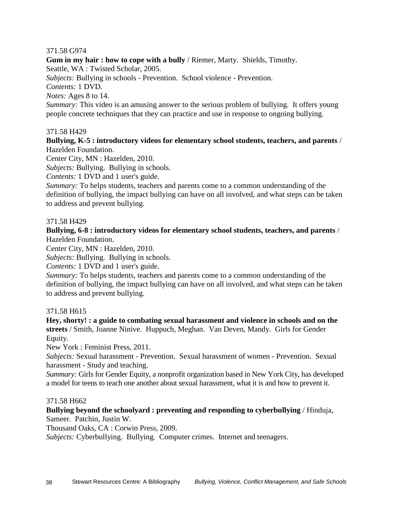# 371.58 G974

**Gum in my hair : how to cope with a bully** / Riemer, Marty. Shields, Timothy.

Seattle, WA : Twisted Scholar, 2005.

*Subjects:* Bullying in schools - Prevention. School violence - Prevention.

*Contents:* 1 DVD.

*Notes:* Ages 8 to 14.

*Summary:* This video is an amusing answer to the serious problem of bullying. It offers young people concrete techniques that they can practice and use in response to ongoing bullying.

# 371.58 H429

**Bullying, K-5 : introductory videos for elementary school students, teachers, and parents** / Hazelden Foundation.

Center City, MN : Hazelden, 2010.

*Subjects:* Bullying. Bullying in schools.

*Contents:* 1 DVD and 1 user's guide.

*Summary:* To helps students, teachers and parents come to a common understanding of the definition of bullying, the impact bullying can have on all involved, and what steps can be taken to address and prevent bullying.

# 371.58 H429

**Bullying, 6-8 : introductory videos for elementary school students, teachers, and parents** / Hazelden Foundation.

Center City, MN : Hazelden, 2010.

*Subjects:* Bullying. Bullying in schools.

*Contents:* 1 DVD and 1 user's guide.

*Summary:* To helps students, teachers and parents come to a common understanding of the definition of bullying, the impact bullying can have on all involved, and what steps can be taken to address and prevent bullying.

#### 371.58 H615

**Hey, shorty! : a guide to combating sexual harassment and violence in schools and on the streets** / Smith, Joanne Ninive. Huppuch, Meghan. Van Deven, Mandy. Girls for Gender Equity.

New York : Feminist Press, 2011.

*Subjects:* Sexual harassment - Prevention. Sexual harassment of women - Prevention. Sexual harassment - Study and teaching.

*Summary:* Girls for Gender Equity, a nonprofit organization based in New York City, has developed a model for teens to teach one another about sexual harassment, what it is and how to prevent it.

#### 371.58 H662

**Bullying beyond the schoolyard : preventing and responding to cyberbullying** / Hinduja, Sameer. Patchin, Justin W.

Thousand Oaks, CA : Corwin Press, 2009.

*Subjects:* Cyberbullying. Bullying. Computer crimes. Internet and teenagers.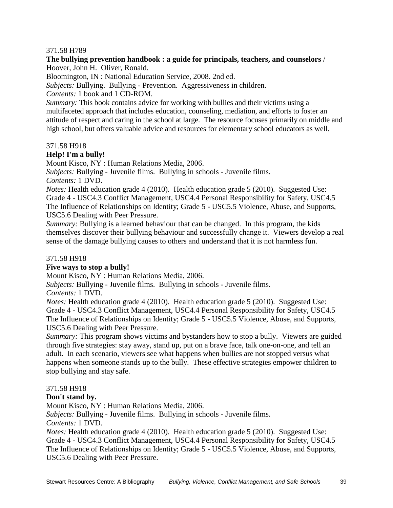### 371.58 H789

#### **The bullying prevention handbook : a guide for principals, teachers, and counselors** / Hoover, John H. Oliver, Ronald.

Bloomington, IN : National Education Service, 2008. 2nd ed.

*Subjects:* Bullying. Bullying - Prevention. Aggressiveness in children.

*Contents:* 1 book and 1 CD-ROM.

*Summary:* This book contains advice for working with bullies and their victims using a multifaceted approach that includes education, counseling, mediation, and efforts to foster an attitude of respect and caring in the school at large. The resource focuses primarily on middle and high school, but offers valuable advice and resources for elementary school educators as well.

# 371.58 H918

# **Help! I'm a bully!**

Mount Kisco, NY : Human Relations Media, 2006.

*Subjects:* Bullying - Juvenile films. Bullying in schools - Juvenile films.

*Contents:* 1 DVD.

*Notes:* Health education grade 4 (2010). Health education grade 5 (2010). Suggested Use: Grade 4 - USC4.3 Conflict Management, USC4.4 Personal Responsibility for Safety, USC4.5 The Influence of Relationships on Identity; Grade 5 - USC5.5 Violence, Abuse, and Supports, USC5.6 Dealing with Peer Pressure.

*Summary:* Bullying is a learned behaviour that can be changed. In this program, the kids themselves discover their bullying behaviour and successfully change it. Viewers develop a real sense of the damage bullying causes to others and understand that it is not harmless fun.

# 371.58 H918

# **Five ways to stop a bully!**

Mount Kisco, NY : Human Relations Media, 2006.

*Subjects:* Bullying - Juvenile films. Bullying in schools - Juvenile films.

*Contents:* 1 DVD.

*Notes:* Health education grade 4 (2010). Health education grade 5 (2010). Suggested Use: Grade 4 - USC4.3 Conflict Management, USC4.4 Personal Responsibility for Safety, USC4.5 The Influence of Relationships on Identity; Grade 5 - USC5.5 Violence, Abuse, and Supports, USC5.6 Dealing with Peer Pressure.

*Summary:* This program shows victims and bystanders how to stop a bully. Viewers are guided through five strategies: stay away, stand up, put on a brave face, talk one-on-one, and tell an adult. In each scenario, viewers see what happens when bullies are not stopped versus what happens when someone stands up to the bully. These effective strategies empower children to stop bullying and stay safe.

# 371.58 H918

# **Don't stand by.**

Mount Kisco, NY : Human Relations Media, 2006.

*Subjects:* Bullying - Juvenile films. Bullying in schools - Juvenile films. *Contents:* 1 DVD.

*Notes:* Health education grade 4 (2010). Health education grade 5 (2010). Suggested Use: Grade 4 - USC4.3 Conflict Management, USC4.4 Personal Responsibility for Safety, USC4.5 The Influence of Relationships on Identity; Grade 5 - USC5.5 Violence, Abuse, and Supports, USC5.6 Dealing with Peer Pressure.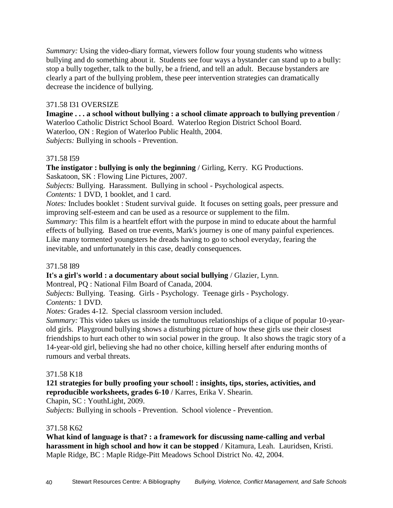*Summary:* Using the video-diary format, viewers follow four young students who witness bullying and do something about it. Students see four ways a bystander can stand up to a bully: stop a bully together, talk to the bully, be a friend, and tell an adult. Because bystanders are clearly a part of the bullying problem, these peer intervention strategies can dramatically decrease the incidence of bullying.

#### 371.58 I31 OVERSIZE

**Imagine . . . a school without bullying : a school climate approach to bullying prevention** / Waterloo Catholic District School Board. Waterloo Region District School Board. Waterloo, ON : Region of Waterloo Public Health, 2004. *Subjects:* Bullying in schools - Prevention.

#### 371.58 I59

**The instigator : bullying is only the beginning** / Girling, Kerry. KG Productions. Saskatoon, SK : Flowing Line Pictures, 2007.

*Subjects:* Bullying. Harassment. Bullying in school - Psychological aspects.

*Contents:* 1 DVD, 1 booklet, and 1 card.

*Notes:* Includes booklet : Student survival guide. It focuses on setting goals, peer pressure and improving self-esteem and can be used as a resource or supplement to the film.

*Summary:* This film is a heartfelt effort with the purpose in mind to educate about the harmful effects of bullying. Based on true events, Mark's journey is one of many painful experiences. Like many tormented youngsters he dreads having to go to school everyday, fearing the inevitable, and unfortunately in this case, deadly consequences.

#### 371.58 I89

**It's a girl's world : a documentary about social bullying** / Glazier, Lynn.

Montreal, PQ : National Film Board of Canada, 2004.

*Subjects:* Bullying. Teasing. Girls - Psychology. Teenage girls - Psychology.

*Contents:* 1 DVD.

*Notes:* Grades 4-12. Special classroom version included.

*Summary:* This video takes us inside the tumultuous relationships of a clique of popular 10-yearold girls. Playground bullying shows a disturbing picture of how these girls use their closest friendships to hurt each other to win social power in the group. It also shows the tragic story of a 14-year-old girl, believing she had no other choice, killing herself after enduring months of rumours and verbal threats.

#### 371.58 K18

#### **121 strategies for bully proofing your school! : insights, tips, stories, activities, and reproducible worksheets, grades 6-10** / Karres, Erika V. Shearin.

Chapin, SC : YouthLight, 2009.

*Subjects:* Bullying in schools - Prevention. School violence - Prevention.

#### 371.58 K62

**What kind of language is that? : a framework for discussing name-calling and verbal harassment in high school and how it can be stopped** / Kitamura, Leah. Lauridsen, Kristi. Maple Ridge, BC : Maple Ridge-Pitt Meadows School District No. 42, 2004.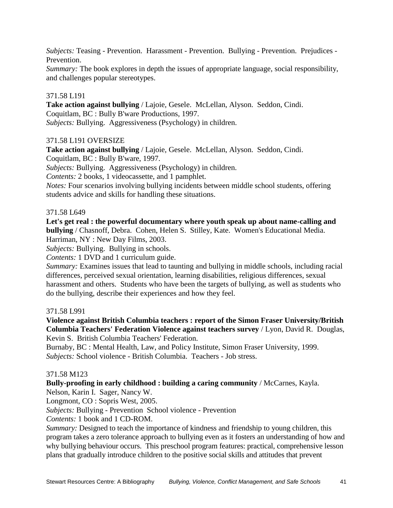*Subjects:* Teasing - Prevention. Harassment - Prevention. Bullying - Prevention. Prejudices - Prevention.

*Summary:* The book explores in depth the issues of appropriate language, social responsibility, and challenges popular stereotypes.

# 371.58 L191

**Take action against bullying** / Lajoie, Gesele. McLellan, Alyson. Seddon, Cindi. Coquitlam, BC : Bully B'ware Productions, 1997. *Subjects:* Bullying. Aggressiveness (Psychology) in children.

#### 371.58 L191 OVERSIZE

**Take action against bullying** / Lajoie, Gesele. McLellan, Alyson. Seddon, Cindi.

Coquitlam, BC : Bully B'ware, 1997.

*Subjects:* Bullying. Aggressiveness (Psychology) in children.

*Contents:* 2 books, 1 videocassette, and 1 pamphlet.

*Notes:* Four scenarios involving bullying incidents between middle school students, offering students advice and skills for handling these situations.

#### 371.58 L649

**Let's get real : the powerful documentary where youth speak up about name-calling and bullying** / Chasnoff, Debra. Cohen, Helen S. Stilley, Kate. Women's Educational Media. Harriman, NY : New Day Films, 2003.

*Subjects:* Bullying. Bullying in schools.

*Contents:* 1 DVD and 1 curriculum guide.

*Summary:* Examines issues that lead to taunting and bullying in middle schools, including racial differences, perceived sexual orientation, learning disabilities, religious differences, sexual harassment and others. Students who have been the targets of bullying, as well as students who do the bullying, describe their experiences and how they feel.

#### 371.58 L991

**Violence against British Columbia teachers : report of the Simon Fraser University/British Columbia Teachers' Federation Violence against teachers survey** / Lyon, David R. Douglas, Kevin S. British Columbia Teachers' Federation.

Burnaby, BC : Mental Health, Law, and Policy Institute, Simon Fraser University, 1999. *Subjects:* School violence - British Columbia. Teachers - Job stress.

#### 371.58 M123

#### **Bully-proofing in early childhood : building a caring community** / McCarnes, Kayla.

Nelson, Karin I. Sager, Nancy W.

Longmont, CO : Sopris West, 2005.

*Subjects:* Bullying - Prevention School violence - Prevention

*Contents:* 1 book and 1 CD-ROM.

*Summary:* Designed to teach the importance of kindness and friendship to young children, this program takes a zero tolerance approach to bullying even as it fosters an understanding of how and why bullying behaviour occurs. This preschool program features: practical, comprehensive lesson plans that gradually introduce children to the positive social skills and attitudes that prevent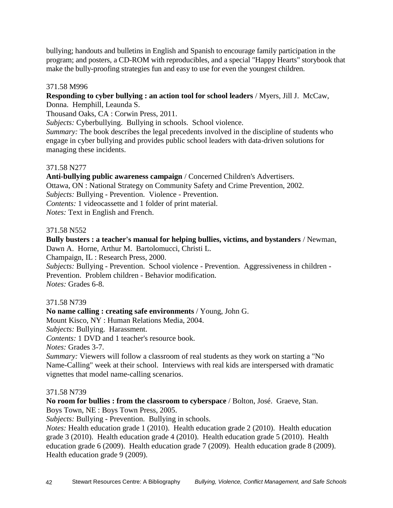bullying; handouts and bulletins in English and Spanish to encourage family participation in the program; and posters, a CD-ROM with reproducibles, and a special "Happy Hearts" storybook that make the bully-proofing strategies fun and easy to use for even the youngest children.

# 371.58 M996

**Responding to cyber bullying : an action tool for school leaders** / Myers, Jill J. McCaw, Donna. Hemphill, Leaunda S.

Thousand Oaks, CA : Corwin Press, 2011.

*Subjects:* Cyberbullying. Bullying in schools. School violence.

*Summary:* The book describes the legal precedents involved in the discipline of students who engage in cyber bullying and provides public school leaders with data-driven solutions for managing these incidents.

#### 371.58 N277

**Anti-bullying public awareness campaign** / Concerned Children's Advertisers. Ottawa, ON : National Strategy on Community Safety and Crime Prevention, 2002. *Subjects:* Bullying - Prevention. Violence - Prevention. *Contents:* 1 videocassette and 1 folder of print material. *Notes:* Text in English and French.

# 371.58 N552

**Bully busters : a teacher's manual for helping bullies, victims, and bystanders** / Newman, Dawn A. Horne, Arthur M. Bartolomucci, Christi L.

Champaign, IL : Research Press, 2000.

*Subjects:* Bullying - Prevention. School violence - Prevention. Aggressiveness in children - Prevention. Problem children - Behavior modification. *Notes:* Grades 6-8.

#### 371.58 N739

# **No name calling : creating safe environments** / Young, John G.

Mount Kisco, NY : Human Relations Media, 2004.

*Subjects:* Bullying. Harassment.

*Contents:* 1 DVD and 1 teacher's resource book.

*Notes:* Grades 3-7.

*Summary:* Viewers will follow a classroom of real students as they work on starting a "No Name-Calling" week at their school. Interviews with real kids are interspersed with dramatic vignettes that model name-calling scenarios.

#### 371.58 N739

**No room for bullies : from the classroom to cyberspace** / Bolton, José. Graeve, Stan. Boys Town, NE : Boys Town Press, 2005.

*Subjects:* Bullying - Prevention. Bullying in schools.

*Notes:* Health education grade 1 (2010). Health education grade 2 (2010). Health education grade 3 (2010). Health education grade 4 (2010). Health education grade 5 (2010). Health education grade 6 (2009). Health education grade 7 (2009). Health education grade 8 (2009). Health education grade 9 (2009).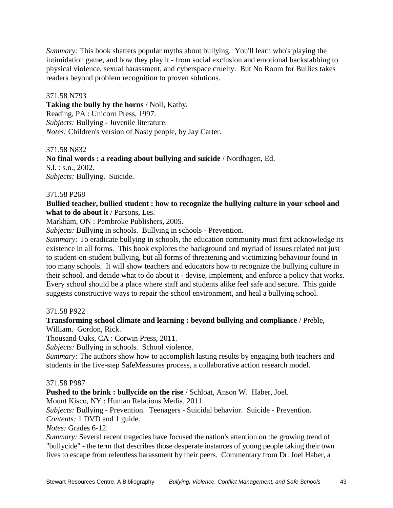*Summary:* This book shatters popular myths about bullying. You'll learn who's playing the intimidation game, and how they play it - from social exclusion and emotional backstabbing to physical violence, sexual harassment, and cyberspace cruelty. But No Room for Bullies takes readers beyond problem recognition to proven solutions.

# 371.58 N793

**Taking the bully by the horns** / Noll, Kathy. Reading, PA : Unicorn Press, 1997. *Subjects:* Bullying - Juvenile literature. *Notes:* Children's version of Nasty people, by Jay Carter.

#### 371.58 N832

**No final words : a reading about bullying and suicide** / Nordhagen, Ed. S.l. : s.n., 2002. *Subjects:* Bullying. Suicide.

# 371.58 P268

**Bullied teacher, bullied student : how to recognize the bullying culture in your school and what to do about it** / Parsons, Les.

Markham, ON : Pembroke Publishers, 2005.

*Subjects:* Bullying in schools. Bullying in schools - Prevention.

*Summary:* To eradicate bullying in schools, the education community must first acknowledge its existence in all forms. This book explores the background and myriad of issues related not just to student-on-student bullying, but all forms of threatening and victimizing behaviour found in too many schools. It will show teachers and educators how to recognize the bullying culture in their school, and decide what to do about it - devise, implement, and enforce a policy that works. Every school should be a place where staff and students alike feel safe and secure. This guide suggests constructive ways to repair the school environment, and heal a bullying school.

# 371.58 P922

# **Transforming school climate and learning : beyond bullying and compliance** / Preble,

William. Gordon, Rick.

Thousand Oaks, CA : Corwin Press, 2011.

*Subjects:* Bullying in schools. School violence.

*Summary:* The authors show how to accomplish lasting results by engaging both teachers and students in the five-step SafeMeasures process, a collaborative action research model.

#### 371.58 P987

**Pushed to the brink : bullycide on the rise** / Schloat, Anson W. Haber, Joel.

Mount Kisco, NY : Human Relations Media, 2011.

*Subjects:* Bullying - Prevention. Teenagers - Suicidal behavior. Suicide - Prevention. *Contents:* 1 DVD and 1 guide.

*Notes:* Grades 6-12.

*Summary:* Several recent tragedies have focused the nation's attention on the growing trend of "bullycide" - the term that describes those desperate instances of young people taking their own lives to escape from relentless harassment by their peers. Commentary from Dr. Joel Haber, a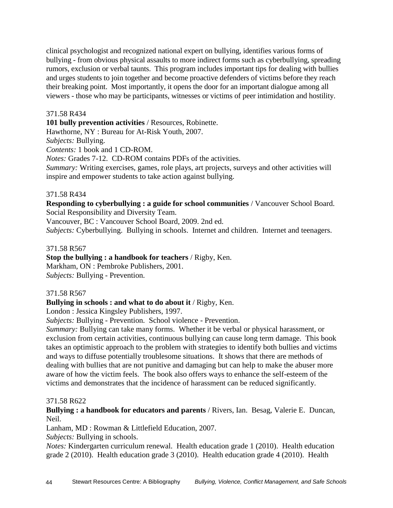clinical psychologist and recognized national expert on bullying, identifies various forms of bullying - from obvious physical assaults to more indirect forms such as cyberbullying, spreading rumors, exclusion or verbal taunts. This program includes important tips for dealing with bullies and urges students to join together and become proactive defenders of victims before they reach their breaking point. Most importantly, it opens the door for an important dialogue among all viewers - those who may be participants, witnesses or victims of peer intimidation and hostility.

# 371.58 R434

**101 bully prevention activities** / Resources, Robinette.

Hawthorne, NY : Bureau for At-Risk Youth, 2007.

*Subjects:* Bullying.

*Contents:* 1 book and 1 CD-ROM.

*Notes:* Grades 7-12. CD-ROM contains PDFs of the activities.

*Summary:* Writing exercises, games, role plays, art projects, surveys and other activities will inspire and empower students to take action against bullying.

# 371.58 R434

**Responding to cyberbullying : a guide for school communities** / Vancouver School Board. Social Responsibility and Diversity Team.

Vancouver, BC : Vancouver School Board, 2009. 2nd ed.

*Subjects:* Cyberbullying. Bullying in schools. Internet and children. Internet and teenagers.

# 371.58 R567

**Stop the bullying : a handbook for teachers** / Rigby, Ken.

Markham, ON : Pembroke Publishers, 2001. *Subjects:* Bullying - Prevention.

# 371.58 R567

# **Bullying in schools : and what to do about it** / Rigby, Ken.

London : Jessica Kingsley Publishers, 1997.

*Subjects:* Bullying - Prevention. School violence - Prevention.

*Summary:* Bullying can take many forms. Whether it be verbal or physical harassment, or exclusion from certain activities, continuous bullying can cause long term damage. This book takes an optimistic approach to the problem with strategies to identify both bullies and victims and ways to diffuse potentially troublesome situations. It shows that there are methods of dealing with bullies that are not punitive and damaging but can help to make the abuser more aware of how the victim feels. The book also offers ways to enhance the self-esteem of the victims and demonstrates that the incidence of harassment can be reduced significantly.

# 371.58 R622

**Bullying : a handbook for educators and parents** / Rivers, Ian. Besag, Valerie E. Duncan, Neil.

Lanham, MD : Rowman & Littlefield Education, 2007.

*Subjects:* Bullying in schools.

*Notes:* Kindergarten curriculum renewal. Health education grade 1 (2010). Health education grade 2 (2010). Health education grade 3 (2010). Health education grade 4 (2010). Health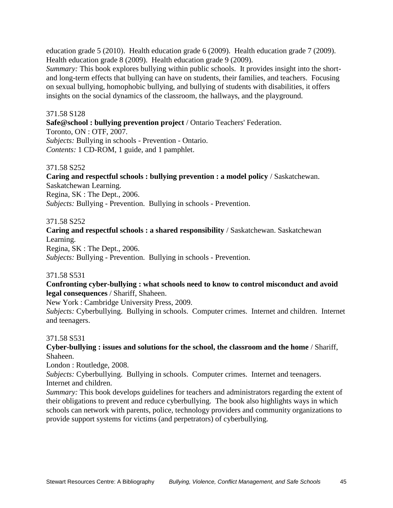education grade 5 (2010). Health education grade 6 (2009). Health education grade 7 (2009). Health education grade 8 (2009). Health education grade 9 (2009).

*Summary:* This book explores bullying within public schools. It provides insight into the shortand long-term effects that bullying can have on students, their families, and teachers. Focusing on sexual bullying, homophobic bullying, and bullying of students with disabilities, it offers insights on the social dynamics of the classroom, the hallways, and the playground.

#### 371.58 S128

**Safe@school : bullying prevention project** / Ontario Teachers' Federation.

Toronto, ON : OTF, 2007. *Subjects:* Bullying in schools - Prevention - Ontario. *Contents:* 1 CD-ROM, 1 guide, and 1 pamphlet.

#### 371.58 S252

**Caring and respectful schools : bullying prevention : a model policy** / Saskatchewan. Saskatchewan Learning. Regina, SK : The Dept., 2006.

*Subjects:* Bullying - Prevention. Bullying in schools - Prevention.

#### 371.58 S252

**Caring and respectful schools : a shared responsibility** / Saskatchewan. Saskatchewan Learning.

Regina, SK : The Dept., 2006. *Subjects:* Bullying - Prevention. Bullying in schools - Prevention.

#### 371.58 S531

#### **Confronting cyber-bullying : what schools need to know to control misconduct and avoid legal consequences** / Shariff, Shaheen.

New York : Cambridge University Press, 2009.

*Subjects:* Cyberbullying. Bullying in schools. Computer crimes. Internet and children. Internet and teenagers.

#### 371.58 S531

#### **Cyber-bullying : issues and solutions for the school, the classroom and the home** / Shariff, Shaheen.

London : Routledge, 2008.

*Subjects:* Cyberbullying. Bullying in schools. Computer crimes. Internet and teenagers. Internet and children.

*Summary:* This book develops guidelines for teachers and administrators regarding the extent of their obligations to prevent and reduce cyberbullying. The book also highlights ways in which schools can network with parents, police, technology providers and community organizations to provide support systems for victims (and perpetrators) of cyberbullying.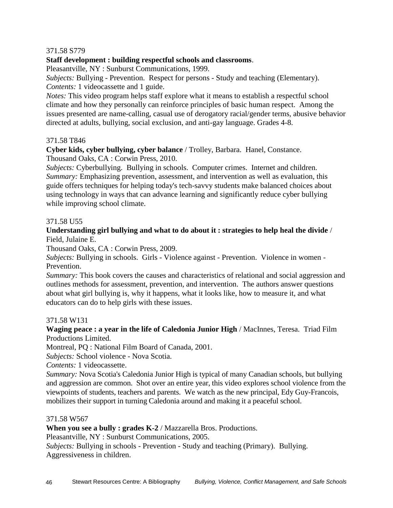# 371.58 S779

# **Staff development : building respectful schools and classrooms**.

Pleasantville, NY : Sunburst Communications, 1999.

*Subjects:* Bullying - Prevention. Respect for persons - Study and teaching (Elementary). *Contents:* 1 videocassette and 1 guide.

*Notes:* This video program helps staff explore what it means to establish a respectful school climate and how they personally can reinforce principles of basic human respect. Among the issues presented are name-calling, casual use of derogatory racial/gender terms, abusive behavior directed at adults, bullying, social exclusion, and anti-gay language. Grades 4-8.

#### 371.58 T846

**Cyber kids, cyber bullying, cyber balance** / Trolley, Barbara. Hanel, Constance.

Thousand Oaks, CA : Corwin Press, 2010.

*Subjects:* Cyberbullying. Bullying in schools. Computer crimes. Internet and children. *Summary:* Emphasizing prevention, assessment, and intervention as well as evaluation, this guide offers techniques for helping today's tech-savvy students make balanced choices about using technology in ways that can advance learning and significantly reduce cyber bullying while improving school climate.

#### 371.58 U55

# **Understanding girl bullying and what to do about it : strategies to help heal the divide** / Field, Julaine E.

Thousand Oaks, CA : Corwin Press, 2009.

*Subjects:* Bullying in schools. Girls - Violence against - Prevention. Violence in women - Prevention.

*Summary:* This book covers the causes and characteristics of relational and social aggression and outlines methods for assessment, prevention, and intervention. The authors answer questions about what girl bullying is, why it happens, what it looks like, how to measure it, and what educators can do to help girls with these issues.

#### 371.58 W131

#### **Waging peace : a year in the life of Caledonia Junior High** / MacInnes, Teresa. Triad Film Productions Limited.

Montreal, PQ : National Film Board of Canada, 2001.

*Subjects:* School violence - Nova Scotia.

*Contents:* 1 videocassette.

*Summary:* Nova Scotia's Caledonia Junior High is typical of many Canadian schools, but bullying and aggression are common. Shot over an entire year, this video explores school violence from the viewpoints of students, teachers and parents. We watch as the new principal, Edy Guy-Francois, mobilizes their support in turning Caledonia around and making it a peaceful school.

#### 371.58 W567

**When you see a bully : grades K-2** / Mazzarella Bros. Productions.

Pleasantville, NY : Sunburst Communications, 2005.

*Subjects:* Bullying in schools - Prevention - Study and teaching (Primary). Bullying. Aggressiveness in children.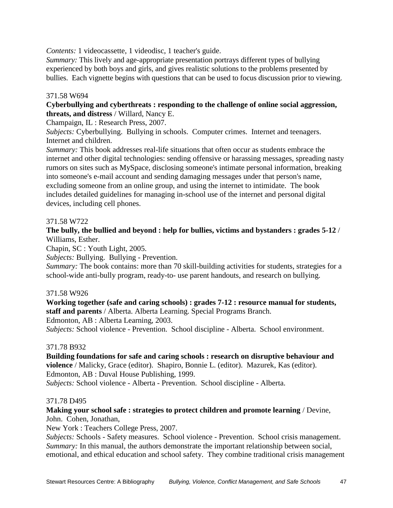*Contents:* 1 videocassette, 1 videodisc, 1 teacher's guide.

*Summary:* This lively and age-appropriate presentation portrays different types of bullying experienced by both boys and girls, and gives realistic solutions to the problems presented by bullies. Each vignette begins with questions that can be used to focus discussion prior to viewing.

# 371.58 W694

# **Cyberbullying and cyberthreats : responding to the challenge of online social aggression, threats, and distress** / Willard, Nancy E.

Champaign, IL : Research Press, 2007.

*Subjects:* Cyberbullying. Bullying in schools. Computer crimes. Internet and teenagers. Internet and children.

*Summary:* This book addresses real-life situations that often occur as students embrace the internet and other digital technologies: sending offensive or harassing messages, spreading nasty rumors on sites such as MySpace, disclosing someone's intimate personal information, breaking into someone's e-mail account and sending damaging messages under that person's name, excluding someone from an online group, and using the internet to intimidate. The book includes detailed guidelines for managing in-school use of the internet and personal digital devices, including cell phones.

# 371.58 W722

# **The bully, the bullied and beyond : help for bullies, victims and bystanders : grades 5-12** / Williams, Esther.

Chapin, SC : Youth Light, 2005.

*Subjects:* Bullying. Bullying - Prevention.

*Summary:* The book contains: more than 70 skill-building activities for students, strategies for a school-wide anti-bully program, ready-to- use parent handouts, and research on bullying.

#### 371.58 W926

**Working together (safe and caring schools) : grades 7-12 : resource manual for students, staff and parents** / Alberta. Alberta Learning. Special Programs Branch. Edmonton, AB : Alberta Learning, 2003.

*Subjects:* School violence - Prevention. School discipline - Alberta. School environment.

#### 371.78 B932

**Building foundations for safe and caring schools : research on disruptive behaviour and violence** / Malicky, Grace (editor). Shapiro, Bonnie L. (editor). Mazurek, Kas (editor). Edmonton, AB : Duval House Publishing, 1999. *Subjects:* School violence - Alberta - Prevention. School discipline - Alberta.

#### 371.78 D495

# **Making your school safe : strategies to protect children and promote learning** / Devine, John. Cohen, Jonathan,

New York : Teachers College Press, 2007.

*Subjects:* Schools - Safety measures. School violence - Prevention. School crisis management. *Summary:* In this manual, the authors demonstrate the important relationship between social, emotional, and ethical education and school safety. They combine traditional crisis management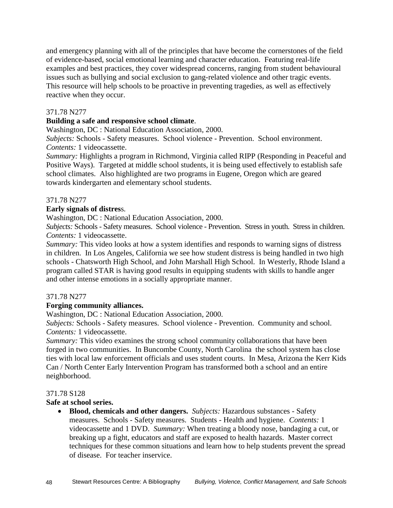and emergency planning with all of the principles that have become the cornerstones of the field of evidence-based, social emotional learning and character education. Featuring real-life examples and best practices, they cover widespread concerns, ranging from student behavioural issues such as bullying and social exclusion to gang-related violence and other tragic events. This resource will help schools to be proactive in preventing tragedies, as well as effectively reactive when they occur.

# 371.78 N277

# **Building a safe and responsive school climate**.

Washington, DC : National Education Association, 2000.

*Subjects:* Schools - Safety measures. School violence - Prevention. School environment. *Contents:* 1 videocassette.

*Summary:* Highlights a program in Richmond, Virginia called RIPP (Responding in Peaceful and Positive Ways). Targeted at middle school students, it is being used effectively to establish safe school climates. Also highlighted are two programs in Eugene, Oregon which are geared towards kindergarten and elementary school students.

#### 371.78 N277

# **Early signals of distres**s.

Washington, DC : National Education Association, 2000.

*Subjects:* Schools - Safety measures. School violence - Prevention. Stress in youth. Stress in children. *Contents:* 1 videocassette.

*Summary:* This video looks at how a system identifies and responds to warning signs of distress in children. In Los Angeles, California we see how student distress is being handled in two high schools - Chatsworth High School, and John Marshall High School. In Westerly, Rhode Island a program called STAR is having good results in equipping students with skills to handle anger and other intense emotions in a socially appropriate manner.

# 371.78 N277

# **Forging community alliances.**

Washington, DC : National Education Association, 2000.

*Subjects:* Schools - Safety measures. School violence - Prevention. Community and school. *Contents:* 1 videocassette.

*Summary:* This video examines the strong school community collaborations that have been forged in two communities. In Buncombe County, North Carolina the school system has close ties with local law enforcement officials and uses student courts. In Mesa, Arizona the Kerr Kids Can / North Center Early Intervention Program has transformed both a school and an entire neighborhood.

#### 371.78 S128

#### **Safe at school series.**

 **Blood, chemicals and other dangers.** *Subjects:* Hazardous substances - Safety measures. Schools - Safety measures. Students - Health and hygiene. *Contents:* 1 videocassette and 1 DVD. *Summary:* When treating a bloody nose, bandaging a cut, or breaking up a fight, educators and staff are exposed to health hazards. Master correct techniques for these common situations and learn how to help students prevent the spread of disease. For teacher inservice.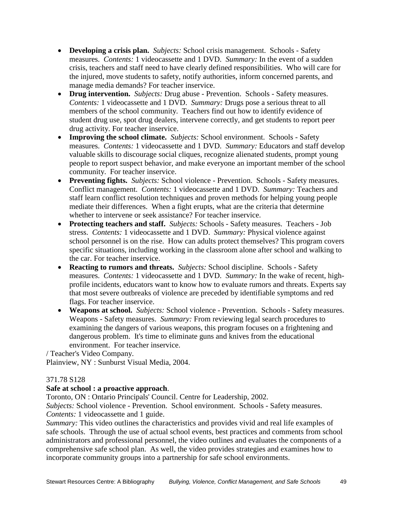- **Developing a crisis plan.** *Subjects:* School crisis management. Schools Safety measures. *Contents:* 1 videocassette and 1 DVD. *Summary:* In the event of a sudden crisis, teachers and staff need to have clearly defined responsibilities. Who will care for the injured, move students to safety, notify authorities, inform concerned parents, and manage media demands? For teacher inservice.
- **Drug intervention.** *Subjects:* Drug abuse Prevention. Schools Safety measures. *Contents:* 1 videocassette and 1 DVD. *Summary:* Drugs pose a serious threat to all members of the school community. Teachers find out how to identify evidence of student drug use, spot drug dealers, intervene correctly, and get students to report peer drug activity. For teacher inservice.
- **Improving the school climate.** *Subjects:* School environment. Schools Safety measures. *Contents:* 1 videocassette and 1 DVD. *Summary:* Educators and staff develop valuable skills to discourage social cliques, recognize alienated students, prompt young people to report suspect behavior, and make everyone an important member of the school community. For teacher inservice.
- **Preventing fights.** *Subjects:* School violence Prevention. Schools Safety measures. Conflict management. *Contents:* 1 videocassette and 1 DVD. *Summary:* Teachers and staff learn conflict resolution techniques and proven methods for helping young people mediate their differences. When a fight erupts, what are the criteria that determine whether to intervene or seek assistance? For teacher inservice.
- **Protecting teachers and staff.** *Subjects:* Schools Safety measures. Teachers Job stress. *Contents:* 1 videocassette and 1 DVD. *Summary:* Physical violence against school personnel is on the rise. How can adults protect themselves? This program covers specific situations, including working in the classroom alone after school and walking to the car. For teacher inservice.
- **Reacting to rumors and threats.** *Subjects:* School discipline. Schools Safety measures. *Contents:* 1 videocassette and 1 DVD. *Summary:* In the wake of recent, highprofile incidents, educators want to know how to evaluate rumors and threats. Experts say that most severe outbreaks of violence are preceded by identifiable symptoms and red flags. For teacher inservice.
- **Weapons at school.** *Subjects:* School violence Prevention. Schools Safety measures. Weapons - Safety measures. *Summary:* From reviewing legal search procedures to examining the dangers of various weapons, this program focuses on a frightening and dangerous problem. It's time to eliminate guns and knives from the educational environment. For teacher inservice.

/ Teacher's Video Company. Plainview, NY : Sunburst Visual Media, 2004.

# 371.78 S128

#### **Safe at school : a proactive approach**.

Toronto, ON : Ontario Principals' Council. Centre for Leadership, 2002.

*Subjects:* School violence - Prevention. School environment. Schools - Safety measures. *Contents:* 1 videocassette and 1 guide.

*Summary:* This video outlines the characteristics and provides vivid and real life examples of safe schools. Through the use of actual school events, best practices and comments from school administrators and professional personnel, the video outlines and evaluates the components of a comprehensive safe school plan. As well, the video provides strategies and examines how to incorporate community groups into a partnership for safe school environments.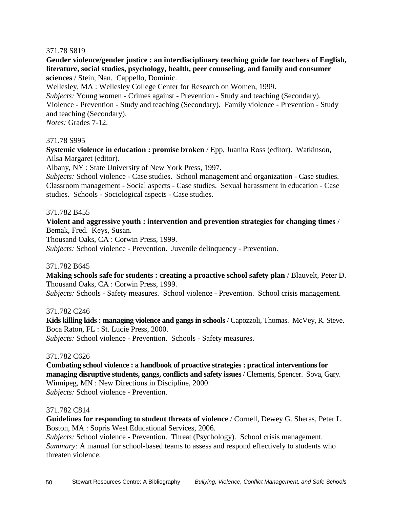#### 371.78 S819

**Gender violence/gender justice : an interdisciplinary teaching guide for teachers of English, literature, social studies, psychology, health, peer counseling, and family and consumer sciences** / Stein, Nan. Cappello, Dominic.

Wellesley, MA : Wellesley College Center for Research on Women, 1999.

*Subjects:* Young women - Crimes against - Prevention - Study and teaching (Secondary). Violence - Prevention - Study and teaching (Secondary). Family violence - Prevention - Study and teaching (Secondary).

*Notes:* Grades 7-12.

#### 371.78 S995

**Systemic violence in education : promise broken** / Epp, Juanita Ross (editor). Watkinson, Ailsa Margaret (editor).

Albany, NY : State University of New York Press, 1997.

*Subjects:* School violence - Case studies. School management and organization - Case studies. Classroom management - Social aspects - Case studies. Sexual harassment in education - Case studies. Schools - Sociological aspects - Case studies.

#### 371.782 B455

# **Violent and aggressive youth : intervention and prevention strategies for changing times** / Bemak, Fred. Keys, Susan.

Thousand Oaks, CA : Corwin Press, 1999.

*Subjects:* School violence - Prevention. Juvenile delinquency - Prevention.

#### 371.782 B645

**Making schools safe for students : creating a proactive school safety plan** / Blauvelt, Peter D. Thousand Oaks, CA : Corwin Press, 1999.

*Subjects:* Schools - Safety measures. School violence - Prevention. School crisis management.

#### 371.782 C246

**Kids killing kids : managing violence and gangs in schools** / Capozzoli, Thomas. McVey, R. Steve. Boca Raton, FL : St. Lucie Press, 2000. *Subjects:* School violence - Prevention. Schools - Safety measures.

#### 371.782 C626

**Combating school violence : a handbook of proactive strategies : practical interventions for managing disruptive students, gangs, conflicts and safety issues**/ Clements, Spencer. Sova, Gary. Winnipeg, MN : New Directions in Discipline, 2000. *Subjects:* School violence - Prevention.

#### 371.782 C814

**Guidelines for responding to student threats of violence** / Cornell, Dewey G. Sheras, Peter L. Boston, MA : Sopris West Educational Services, 2006.

*Subjects:* School violence - Prevention. Threat (Psychology). School crisis management. *Summary:* A manual for school-based teams to assess and respond effectively to students who threaten violence.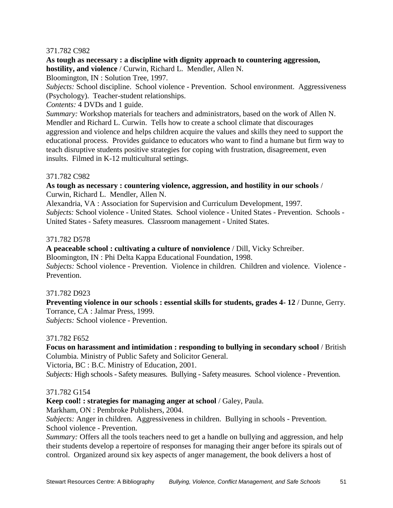# 371.782 C982

**As tough as necessary : a discipline with dignity approach to countering aggression, hostility, and violence** / Curwin, Richard L. Mendler, Allen N.

Bloomington, IN : Solution Tree, 1997.

*Subjects:* School discipline. School violence - Prevention. School environment. Aggressiveness (Psychology). Teacher-student relationships.

*Contents:* 4 DVDs and 1 guide.

*Summary:* Workshop materials for teachers and administrators, based on the work of Allen N. Mendler and Richard L. Curwin. Tells how to create a school climate that discourages aggression and violence and helps children acquire the values and skills they need to support the educational process. Provides guidance to educators who want to find a humane but firm way to teach disruptive students positive strategies for coping with frustration, disagreement, even insults. Filmed in K-12 multicultural settings.

# 371.782 C982

**As tough as necessary : countering violence, aggression, and hostility in our schools** / Curwin, Richard L. Mendler, Allen N.

Alexandria, VA : Association for Supervision and Curriculum Development, 1997.

*Subjects:* School violence - United States. School violence - United States - Prevention. Schools - United States - Safety measures. Classroom management - United States.

# 371.782 D578

**A peaceable school : cultivating a culture of nonviolence** / Dill, Vicky Schreiber.

Bloomington, IN : Phi Delta Kappa Educational Foundation, 1998.

*Subjects:* School violence - Prevention. Violence in children. Children and violence. Violence - Prevention.

# 371.782 D923

**Preventing violence in our schools : essential skills for students, grades 4- 12** / Dunne, Gerry. Torrance, CA : Jalmar Press, 1999.

*Subjects:* School violence - Prevention.

#### 371.782 F652

**Focus on harassment and intimidation : responding to bullying in secondary school** / British Columbia. Ministry of Public Safety and Solicitor General.

Victoria, BC : B.C. Ministry of Education, 2001.

*Subjects:* High schools - Safety measures. Bullying - Safety measures. School violence - Prevention.

# 371.782 G154

**Keep cool! : strategies for managing anger at school** / Galey, Paula.

Markham, ON : Pembroke Publishers, 2004.

*Subjects:* Anger in children. Aggressiveness in children. Bullying in schools - Prevention. School violence - Prevention.

*Summary:* Offers all the tools teachers need to get a handle on bullying and aggression, and help their students develop a repertoire of responses for managing their anger before its spirals out of control. Organized around six key aspects of anger management, the book delivers a host of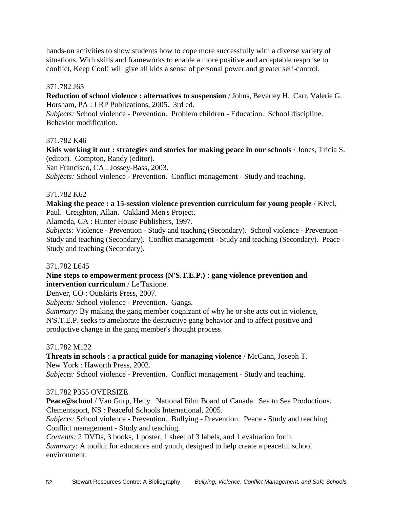hands-on activities to show students how to cope more successfully with a diverse variety of situations. With skills and frameworks to enable a more positive and acceptable response to conflict, Keep Cool! will give all kids a sense of personal power and greater self-control.

# 371.782 J65

**Reduction of school violence : alternatives to suspension** / Johns, Beverley H. Carr, Valerie G. Horsham, PA : LRP Publications, 2005. 3rd ed.

*Subjects:* School violence - Prevention. Problem children - Education. School discipline. Behavior modification.

#### 371.782 K46

**Kids working it out : strategies and stories for making peace in our schools** / Jones, Tricia S. (editor). Compton, Randy (editor).

San Francisco, CA : Jossey-Bass, 2003.

*Subjects:* School violence - Prevention. Conflict management - Study and teaching.

# 371.782 K62

# **Making the peace : a 15-session violence prevention curriculum for young people** / Kivel, Paul. Creighton, Allan. Oakland Men's Project.

Alameda, CA : Hunter House Publishers, 1997.

*Subjects:* Violence - Prevention - Study and teaching (Secondary). School violence - Prevention - Study and teaching (Secondary). Conflict management - Study and teaching (Secondary). Peace - Study and teaching (Secondary).

# 371.782 L645

# **Nine steps to empowerment process (N'S.T.E.P.) : gang violence prevention and intervention curriculum** / Le'Taxione.

Denver, CO : Outskirts Press, 2007.

*Subjects:* School violence - Prevention. Gangs.

*Summary:* By making the gang member cognizant of why he or she acts out in violence, N'S.T.E.P. seeks to ameliorate the destructive gang behavior and to affect positive and productive change in the gang member's thought process.

# 371.782 M122

**Threats in schools : a practical guide for managing violence** / McCann, Joseph T. New York : Haworth Press, 2002.

*Subjects:* School violence - Prevention. Conflict management - Study and teaching.

# 371.782 P355 OVERSIZE

**Peace@school** / Van Gurp, Hetty. National Film Board of Canada. Sea to Sea Productions. Clementsport, NS : Peaceful Schools International, 2005.

*Subjects:* School violence - Prevention. Bullying - Prevention. Peace - Study and teaching. Conflict management - Study and teaching.

*Contents:* 2 DVDs, 3 books, 1 poster, 1 sheet of 3 labels, and 1 evaluation form. *Summary:* A toolkit for educators and youth, designed to help create a peaceful school environment.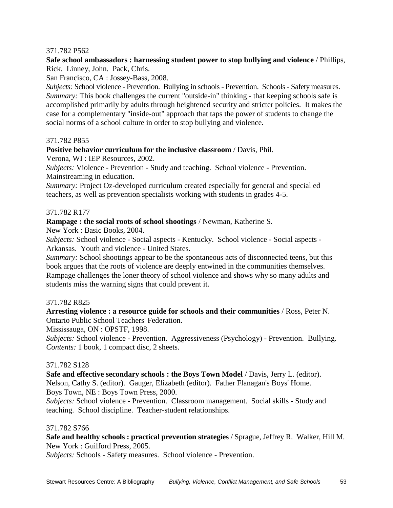# 371.782 P562

# **Safe school ambassadors : harnessing student power to stop bullying and violence** / Phillips, Rick. Linney, John. Pack, Chris.

San Francisco, CA : Jossey-Bass, 2008.

*Subjects:* School violence - Prevention. Bullying in schools - Prevention. Schools - Safety measures. *Summary:* This book challenges the current "outside-in" thinking - that keeping schools safe is accomplished primarily by adults through heightened security and stricter policies. It makes the case for a complementary "inside-out" approach that taps the power of students to change the social norms of a school culture in order to stop bullying and violence.

#### 371.782 P855

#### **Positive behavior curriculum for the inclusive classroom** / Davis, Phil.

Verona, WI : IEP Resources, 2002.

*Subjects:* Violence - Prevention - Study and teaching. School violence - Prevention. Mainstreaming in education.

*Summary:* Project Oz-developed curriculum created especially for general and special ed teachers, as well as prevention specialists working with students in grades 4-5.

#### 371.782 R177

**Rampage : the social roots of school shootings** / Newman, Katherine S.

New York : Basic Books, 2004.

*Subjects:* School violence - Social aspects - Kentucky. School violence - Social aspects - Arkansas. Youth and violence - United States.

*Summary:* School shootings appear to be the spontaneous acts of disconnected teens, but this book argues that the roots of violence are deeply entwined in the communities themselves. Rampage challenges the loner theory of school violence and shows why so many adults and students miss the warning signs that could prevent it.

#### 371.782 R825

**Arresting violence : a resource guide for schools and their communities** / Ross, Peter N. Ontario Public School Teachers' Federation.

Mississauga, ON : OPSTF, 1998.

*Subjects:* School violence - Prevention. Aggressiveness (Psychology) - Prevention. Bullying. *Contents:* 1 book, 1 compact disc, 2 sheets.

#### 371.782 S128

**Safe and effective secondary schools : the Boys Town Model** / Davis, Jerry L. (editor). Nelson, Cathy S. (editor). Gauger, Elizabeth (editor). Father Flanagan's Boys' Home. Boys Town, NE : Boys Town Press, 2000.

*Subjects:* School violence - Prevention. Classroom management. Social skills - Study and teaching. School discipline. Teacher-student relationships.

#### 371.782 S766

**Safe and healthy schools : practical prevention strategies** / Sprague, Jeffrey R. Walker, Hill M. New York : Guilford Press, 2005.

*Subjects:* Schools - Safety measures. School violence - Prevention.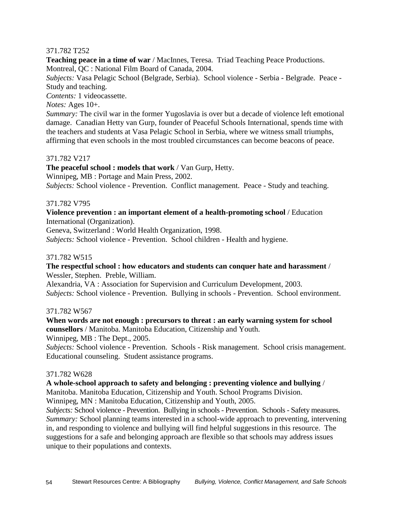# 371.782 T252

**Teaching peace in a time of war** / MacInnes, Teresa. Triad Teaching Peace Productions. Montreal, QC : National Film Board of Canada, 2004.

*Subjects:* Vasa Pelagic School (Belgrade, Serbia). School violence - Serbia - Belgrade. Peace - Study and teaching.

*Contents:* 1 videocassette.

*Notes:* Ages 10+.

*Summary:* The civil war in the former Yugoslavia is over but a decade of violence left emotional damage. Canadian Hetty van Gurp, founder of Peaceful Schools International, spends time with the teachers and students at Vasa Pelagic School in Serbia, where we witness small triumphs, affirming that even schools in the most troubled circumstances can become beacons of peace.

# 371.782 V217

**The peaceful school : models that work** / Van Gurp, Hetty.

Winnipeg, MB : Portage and Main Press, 2002.

*Subjects:* School violence - Prevention. Conflict management. Peace - Study and teaching.

#### 371.782 V795

#### **Violence prevention : an important element of a health-promoting school** / Education International (Organization).

Geneva, Switzerland : World Health Organization, 1998.

*Subjects:* School violence - Prevention. School children - Health and hygiene.

#### 371.782 W515

#### **The respectful school : how educators and students can conquer hate and harassment** / Wessler, Stephen. Preble, William.

Alexandria, VA : Association for Supervision and Curriculum Development, 2003. *Subjects:* School violence - Prevention. Bullying in schools - Prevention. School environment.

#### 371.782 W567

#### **When words are not enough : precursors to threat : an early warning system for school counsellors** / Manitoba. Manitoba Education, Citizenship and Youth.

Winnipeg, MB : The Dept., 2005.

*Subjects:* School violence - Prevention. Schools - Risk management. School crisis management. Educational counseling. Student assistance programs.

#### 371.782 W628

#### **A whole-school approach to safety and belonging : preventing violence and bullying** /

Manitoba. Manitoba Education, Citizenship and Youth. School Programs Division.

Winnipeg, MN : Manitoba Education, Citizenship and Youth, 2005.

*Subjects:* School violence - Prevention. Bullying in schools - Prevention. Schools - Safety measures. *Summary:* School planning teams interested in a school-wide approach to preventing, intervening in, and responding to violence and bullying will find helpful suggestions in this resource. The suggestions for a safe and belonging approach are flexible so that schools may address issues unique to their populations and contexts.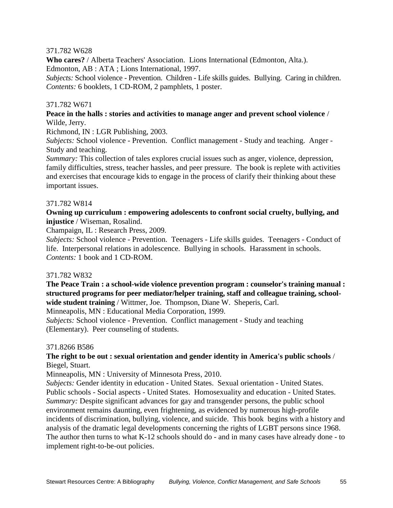### 371.782 W628

**Who cares?** / Alberta Teachers' Association. Lions International (Edmonton, Alta.). Edmonton, AB : ATA ; Lions International, 1997.

*Subjects:* School violence - Prevention. Children - Life skills guides. Bullying. Caring in children. *Contents:* 6 booklets, 1 CD-ROM, 2 pamphlets, 1 poster.

#### 371.782 W671

#### **Peace in the halls : stories and activities to manage anger and prevent school violence** / Wilde, Jerry.

Richmond, IN : LGR Publishing, 2003.

*Subjects:* School violence - Prevention. Conflict management - Study and teaching. Anger - Study and teaching.

*Summary:* This collection of tales explores crucial issues such as anger, violence, depression, family difficulties, stress, teacher hassles, and peer pressure. The book is replete with activities and exercises that encourage kids to engage in the process of clarify their thinking about these important issues.

#### 371.782 W814

#### **Owning up curriculum : empowering adolescents to confront social cruelty, bullying, and injustice** / Wiseman, Rosalind.

Champaign, IL : Research Press, 2009.

*Subjects:* School violence - Prevention. Teenagers - Life skills guides. Teenagers - Conduct of life. Interpersonal relations in adolescence. Bullying in schools. Harassment in schools. *Contents:* 1 book and 1 CD-ROM.

#### 371.782 W832

**The Peace Train : a school-wide violence prevention program : counselor's training manual : structured programs for peer mediator/helper training, staff and colleague training, schoolwide student training** / Wittmer, Joe. Thompson, Diane W. Sheperis, Carl.

Minneapolis, MN : Educational Media Corporation, 1999.

*Subjects:* School violence - Prevention. Conflict management - Study and teaching (Elementary). Peer counseling of students.

#### 371.8266 B586

# **The right to be out : sexual orientation and gender identity in America's public schools** / Biegel, Stuart.

Minneapolis, MN : University of Minnesota Press, 2010.

*Subjects:* Gender identity in education - United States. Sexual orientation - United States. Public schools - Social aspects - United States. Homosexuality and education - United States. *Summary:* Despite significant advances for gay and transgender persons, the public school environment remains daunting, even frightening, as evidenced by numerous high-profile incidents of discrimination, bullying, violence, and suicide. This book begins with a history and analysis of the dramatic legal developments concerning the rights of LGBT persons since 1968. The author then turns to what K-12 schools should do - and in many cases have already done - to implement right-to-be-out policies.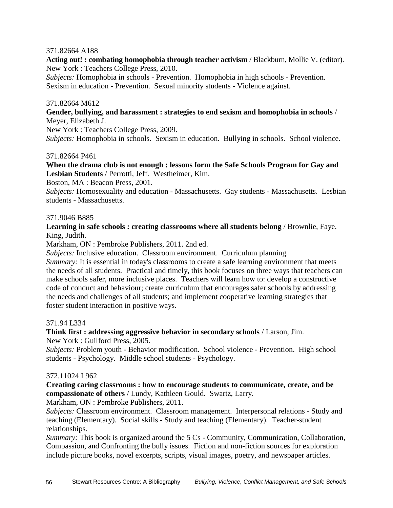#### 371.82664 A188

**Acting out! : combating homophobia through teacher activism** / Blackburn, Mollie V. (editor). New York : Teachers College Press, 2010.

*Subjects:* Homophobia in schools - Prevention. Homophobia in high schools - Prevention. Sexism in education - Prevention. Sexual minority students - Violence against.

#### 371.82664 M612

#### **Gender, bullying, and harassment : strategies to end sexism and homophobia in schools** / Meyer, Elizabeth J.

New York : Teachers College Press, 2009.

*Subjects:* Homophobia in schools. Sexism in education. Bullying in schools. School violence.

#### 371.82664 P461

#### **When the drama club is not enough : lessons form the Safe Schools Program for Gay and Lesbian Students** / Perrotti, Jeff. Westheimer, Kim.

Boston, MA : Beacon Press, 2001.

*Subjects:* Homosexuality and education - Massachusetts. Gay students - Massachusetts. Lesbian students - Massachusetts.

#### 371.9046 B885

# **Learning in safe schools : creating classrooms where all students belong** / Brownlie, Faye. King, Judith.

Markham, ON : Pembroke Publishers, 2011. 2nd ed.

*Subjects:* Inclusive education. Classroom environment. Curriculum planning.

*Summary:* It is essential in today's classrooms to create a safe learning environment that meets the needs of all students. Practical and timely, this book focuses on three ways that teachers can make schools safer, more inclusive places. Teachers will learn how to: develop a constructive code of conduct and behaviour; create curriculum that encourages safer schools by addressing the needs and challenges of all students; and implement cooperative learning strategies that foster student interaction in positive ways.

#### 371.94 L334

#### **Think first : addressing aggressive behavior in secondary schools** / Larson, Jim.

New York : Guilford Press, 2005.

*Subjects:* Problem youth - Behavior modification. School violence - Prevention. High school students - Psychology. Middle school students - Psychology.

#### 372.11024 L962

**Creating caring classrooms : how to encourage students to communicate, create, and be compassionate of others** / Lundy, Kathleen Gould. Swartz, Larry.

Markham, ON : Pembroke Publishers, 2011.

*Subjects:* Classroom environment. Classroom management. Interpersonal relations - Study and teaching (Elementary). Social skills - Study and teaching (Elementary). Teacher-student relationships.

*Summary:* This book is organized around the 5 Cs - Community, Communication, Collaboration, Compassion, and Confronting the bully issues. Fiction and non-fiction sources for exploration include picture books, novel excerpts, scripts, visual images, poetry, and newspaper articles.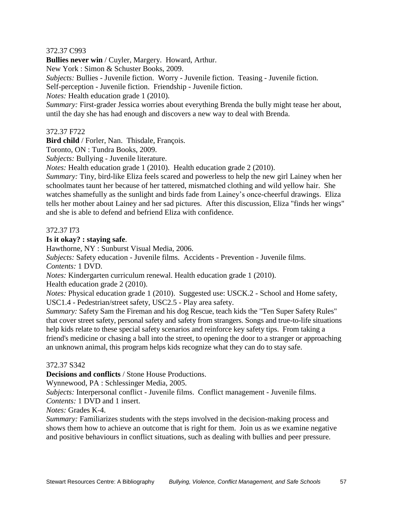# 372.37 C993

**Bullies never win** / Cuyler, Margery. Howard, Arthur.

New York : Simon & Schuster Books, 2009.

*Subjects:* Bullies - Juvenile fiction. Worry - Juvenile fiction. Teasing - Juvenile fiction.

Self-perception - Juvenile fiction. Friendship - Juvenile fiction.

*Notes:* Health education grade 1 (2010).

*Summary:* First-grader Jessica worries about everything Brenda the bully might tease her about, until the day she has had enough and discovers a new way to deal with Brenda.

# 372.37 F722

**Bird child** / Forler, Nan. Thisdale, François.

Toronto, ON : Tundra Books, 2009.

*Subjects:* Bullying - Juvenile literature.

*Notes:* Health education grade 1 (2010). Health education grade 2 (2010).

*Summary:* Tiny, bird-like Eliza feels scared and powerless to help the new girl Lainey when her schoolmates taunt her because of her tattered, mismatched clothing and wild yellow hair. She watches shamefully as the sunlight and birds fade from Lainey's once-cheerful drawings. Eliza tells her mother about Lainey and her sad pictures. After this discussion, Eliza "finds her wings" and she is able to defend and befriend Eliza with confidence.

# 372.37 I73

# **Is it okay? : staying safe**.

Hawthorne, NY : Sunburst Visual Media, 2006.

*Subjects:* Safety education - Juvenile films. Accidents - Prevention - Juvenile films. *Contents:* 1 DVD.

*Notes:* Kindergarten curriculum renewal. Health education grade 1 (2010).

Health education grade 2 (2010).

*Notes:* Physical education grade 1 (2010). Suggested use: USCK.2 - School and Home safety, USC1.4 - Pedestrian/street safety, USC2.5 - Play area safety.

*Summary:* Safety Sam the Fireman and his dog Rescue, teach kids the "Ten Super Safety Rules" that cover street safety, personal safety and safety from strangers. Songs and true-to-life situations help kids relate to these special safety scenarios and reinforce key safety tips. From taking a friend's medicine or chasing a ball into the street, to opening the door to a stranger or approaching an unknown animal, this program helps kids recognize what they can do to stay safe.

# 372.37 S342

**Decisions and conflicts** / Stone House Productions.

Wynnewood, PA : Schlessinger Media, 2005.

*Subjects:* Interpersonal conflict - Juvenile films. Conflict management - Juvenile films.

*Contents:* 1 DVD and 1 insert.

*Notes:* Grades K-4.

*Summary:* Familiarizes students with the steps involved in the decision-making process and shows them how to achieve an outcome that is right for them. Join us as we examine negative and positive behaviours in conflict situations, such as dealing with bullies and peer pressure.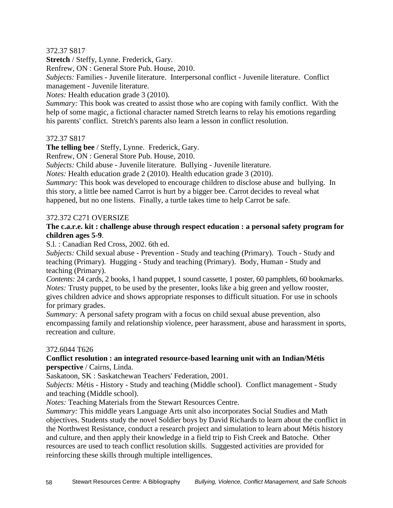# 372.37 S817

**Stretch** / Steffy, Lynne. Frederick, Gary.

Renfrew, ON : General Store Pub. House, 2010.

*Subjects:* Families - Juvenile literature. Interpersonal conflict - Juvenile literature. Conflict management - Juvenile literature.

*Notes:* Health education grade 3 (2010).

*Summary:* This book was created to assist those who are coping with family conflict. With the help of some magic, a fictional character named Stretch learns to relay his emotions regarding his parents' conflict. Stretch's parents also learn a lesson in conflict resolution.

# 372.37 S817

**The telling bee** / Steffy, Lynne. Frederick, Gary.

Renfrew, ON : General Store Pub. House, 2010.

*Subjects:* Child abuse - Juvenile literature. Bullying - Juvenile literature.

*Notes:* Health education grade 2 (2010). Health education grade 3 (2010).

*Summary:* This book was developed to encourage children to disclose abuse and bullying. In this story, a little bee named Carrot is hurt by a bigger bee. Carrot decides to reveal what happened, but no one listens. Finally, a turtle takes time to help Carrot be safe.

#### 372.372 C271 OVERSIZE

#### **The c.a.r.e. kit : challenge abuse through respect education : a personal safety program for children ages 5-9**.

S.l. : Canadian Red Cross, 2002. 6th ed.

*Subjects:* Child sexual abuse - Prevention - Study and teaching (Primary). Touch - Study and teaching (Primary). Hugging - Study and teaching (Primary). Body, Human - Study and teaching (Primary).

*Contents:* 24 cards, 2 books, 1 hand puppet, 1 sound cassette, 1 poster, 60 pamphlets, 60 bookmarks. *Notes:* Trusty puppet, to be used by the presenter, looks like a big green and yellow rooster, gives children advice and shows appropriate responses to difficult situation. For use in schools for primary grades.

*Summary:* A personal safety program with a focus on child sexual abuse prevention, also encompassing family and relationship violence, peer harassment, abuse and harassment in sports, recreation and culture.

#### 372.6044 T626

# **Conflict resolution : an integrated resource-based learning unit with an Indian/Métis perspective** / Cairns, Linda.

Saskatoon, SK : Saskatchewan Teachers' Federation, 2001.

*Subjects:* Métis - History - Study and teaching (Middle school). Conflict management - Study and teaching (Middle school).

*Notes:* Teaching Materials from the Stewart Resources Centre.

*Summary:* This middle years Language Arts unit also incorporates Social Studies and Math objectives. Students study the novel Soldier boys by David Richards to learn about the conflict in the Northwest Resistance, conduct a research project and simulation to learn about Métis history and culture, and then apply their knowledge in a field trip to Fish Creek and Batoche. Other resources are used to teach conflict resolution skills. Suggested activities are provided for reinforcing these skills through multiple intelligences.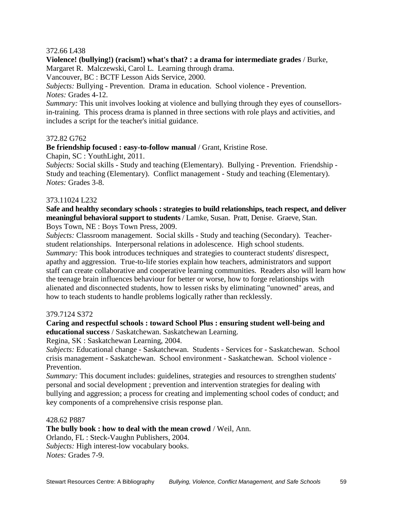#### 372.66 L438

**Violence! (bullying!) (racism!) what's that? : a drama for intermediate grades** / Burke, Margaret R. Malczewski, Carol L. Learning through drama.

Vancouver, BC : BCTF Lesson Aids Service, 2000.

*Subjects:* Bullying - Prevention. Drama in education. School violence - Prevention. *Notes:* Grades 4-12.

*Summary:* This unit involves looking at violence and bullying through they eyes of counsellorsin-training. This process drama is planned in three sections with role plays and activities, and includes a script for the teacher's initial guidance.

#### 372.82 G762

**Be friendship focused : easy-to-follow manual** / Grant, Kristine Rose.

Chapin, SC : YouthLight, 2011.

*Subjects:* Social skills - Study and teaching (Elementary). Bullying - Prevention. Friendship - Study and teaching (Elementary). Conflict management - Study and teaching (Elementary). *Notes:* Grades 3-8.

#### 373.11024 L232

**Safe and healthy secondary schools : strategies to build relationships, teach respect, and deliver meaningful behavioral support to students** / Lamke, Susan. Pratt, Denise. Graeve, Stan. Boys Town, NE : Boys Town Press, 2009.

*Subjects:* Classroom management. Social skills - Study and teaching (Secondary). Teacherstudent relationships. Interpersonal relations in adolescence. High school students. *Summary:* This book introduces techniques and strategies to counteract students' disrespect, apathy and aggression. True-to-life stories explain how teachers, administrators and support staff can create collaborative and cooperative learning communities. Readers also will learn how the teenage brain influences behaviour for better or worse, how to forge relationships with alienated and disconnected students, how to lessen risks by eliminating "unowned" areas, and how to teach students to handle problems logically rather than recklessly.

#### 379.7124 S372

**Caring and respectful schools : toward School Plus : ensuring student well-being and educational success** / Saskatchewan. Saskatchewan Learning.

Regina, SK : Saskatchewan Learning, 2004.

*Subjects:* Educational change - Saskatchewan. Students - Services for - Saskatchewan. School crisis management - Saskatchewan. School environment - Saskatchewan. School violence - Prevention.

*Summary:* This document includes: guidelines, strategies and resources to strengthen students' personal and social development ; prevention and intervention strategies for dealing with bullying and aggression; a process for creating and implementing school codes of conduct; and key components of a comprehensive crisis response plan.

#### 428.62 P887

**The bully book : how to deal with the mean crowd** / Weil, Ann.

Orlando, FL : Steck-Vaughn Publishers, 2004. *Subjects:* High interest-low vocabulary books. *Notes:* Grades 7-9.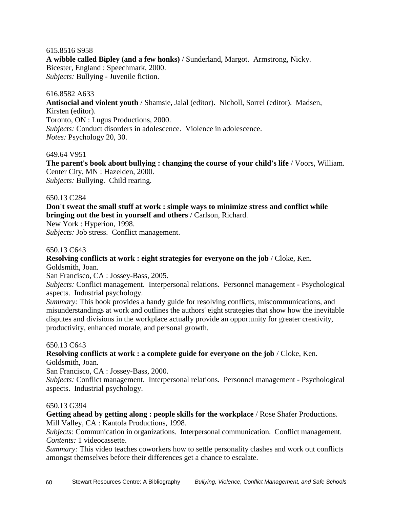#### 615.8516 S958

**A wibble called Bipley (and a few honks)** / Sunderland, Margot. Armstrong, Nicky. Bicester, England : Speechmark, 2000. *Subjects:* Bullying - Juvenile fiction.

#### 616.8582 A633

**Antisocial and violent youth** / Shamsie, Jalal (editor). Nicholl, Sorrel (editor). Madsen, Kirsten (editor). Toronto, ON : Lugus Productions, 2000. *Subjects:* Conduct disorders in adolescence. Violence in adolescence. *Notes:* Psychology 20, 30.

#### 649.64 V951

**The parent's book about bullying : changing the course of your child's life** / Voors, William. Center City, MN : Hazelden, 2000. *Subjects:* Bullying. Child rearing.

#### 650.13 C284

**Don't sweat the small stuff at work : simple ways to minimize stress and conflict while bringing out the best in yourself and others** / Carlson, Richard.

New York : Hyperion, 1998.

*Subjects:* Job stress. Conflict management.

#### 650.13 C643

**Resolving conflicts at work : eight strategies for everyone on the job** / Cloke, Ken. Goldsmith, Joan.

San Francisco, CA : Jossey-Bass, 2005.

*Subjects:* Conflict management. Interpersonal relations. Personnel management - Psychological aspects. Industrial psychology.

*Summary:* This book provides a handy guide for resolving conflicts, miscommunications, and misunderstandings at work and outlines the authors' eight strategies that show how the inevitable disputes and divisions in the workplace actually provide an opportunity for greater creativity, productivity, enhanced morale, and personal growth.

#### 650.13 C643

**Resolving conflicts at work : a complete guide for everyone on the job** / Cloke, Ken. Goldsmith, Joan.

San Francisco, CA : Jossey-Bass, 2000.

*Subjects:* Conflict management. Interpersonal relations. Personnel management - Psychological aspects. Industrial psychology.

#### 650.13 G394

**Getting ahead by getting along : people skills for the workplace** / Rose Shafer Productions. Mill Valley, CA : Kantola Productions, 1998.

*Subjects:* Communication in organizations. Interpersonal communication. Conflict management. *Contents:* 1 videocassette.

*Summary:* This video teaches coworkers how to settle personality clashes and work out conflicts amongst themselves before their differences get a chance to escalate.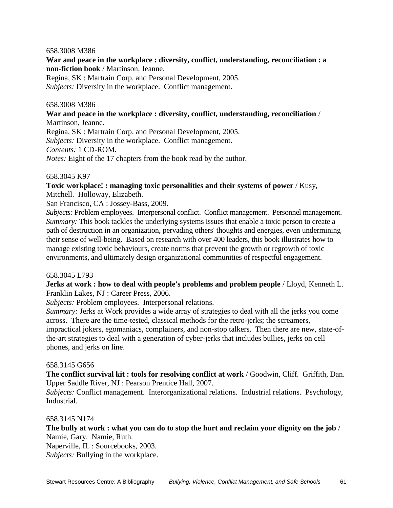#### 658.3008 M386

# **War and peace in the workplace : diversity, conflict, understanding, reconciliation : a non-fiction book** / Martinson, Jeanne.

Regina, SK : Martrain Corp. and Personal Development, 2005. *Subjects:* Diversity in the workplace. Conflict management.

#### 658.3008 M386

**War and peace in the workplace : diversity, conflict, understanding, reconciliation** / Martinson, Jeanne.

Regina, SK : Martrain Corp. and Personal Development, 2005. *Subjects:* Diversity in the workplace. Conflict management. *Contents:* 1 CD-ROM. *Notes:* Eight of the 17 chapters from the book read by the author.

#### 658.3045 K97

**Toxic workplace! : managing toxic personalities and their systems of power** / Kusy, Mitchell. Holloway, Elizabeth.

San Francisco, CA : Jossey-Bass, 2009.

*Subjects:* Problem employees. Interpersonal conflict. Conflict management. Personnel management. *Summary:* This book tackles the underlying systems issues that enable a toxic person to create a path of destruction in an organization, pervading others' thoughts and energies, even undermining their sense of well-being. Based on research with over 400 leaders, this book illustrates how to manage existing toxic behaviours, create norms that prevent the growth or regrowth of toxic environments, and ultimately design organizational communities of respectful engagement.

#### 658.3045 L793

**Jerks at work : how to deal with people's problems and problem people** / Lloyd, Kenneth L. Franklin Lakes, NJ : Career Press, 2006.

*Subjects:* Problem employees. Interpersonal relations.

*Summary:* Jerks at Work provides a wide array of strategies to deal with all the jerks you come across. There are the time-tested, classical methods for the retro-jerks; the screamers,

impractical jokers, egomaniacs, complainers, and non-stop talkers. Then there are new, state-ofthe-art strategies to deal with a generation of cyber-jerks that includes bullies, jerks on cell phones, and jerks on line.

#### 658.3145 G656

**The conflict survival kit : tools for resolving conflict at work** / Goodwin, Cliff. Griffith, Dan. Upper Saddle River, NJ : Pearson Prentice Hall, 2007.

*Subjects:* Conflict management. Interorganizational relations. Industrial relations. Psychology, Industrial.

#### 658.3145 N174

**The bully at work : what you can do to stop the hurt and reclaim your dignity on the job** / Namie, Gary. Namie, Ruth.

Naperville, IL : Sourcebooks, 2003. *Subjects:* Bullying in the workplace.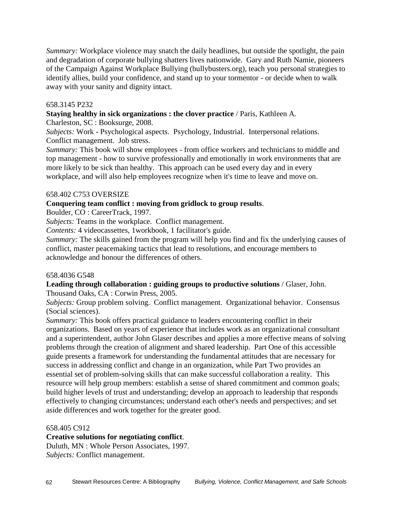*Summary:* Workplace violence may snatch the daily headlines, but outside the spotlight, the pain and degradation of corporate bullying shatters lives nationwide. Gary and Ruth Namie, pioneers of the Campaign Against Workplace Bullying (bullybusters.org), teach you personal strategies to identify allies, build your confidence, and stand up to your tormentor - or decide when to walk away with your sanity and dignity intact.

# 658.3145 P232

**Staying healthy in sick organizations : the clover practice** / Paris, Kathleen A.

Charleston, SC : Booksurge, 2008.

*Subjects:* Work - Psychological aspects. Psychology, Industrial. Interpersonal relations. Conflict management. Job stress.

*Summary:* This book will show employees - from office workers and technicians to middle and top management - how to survive professionally and emotionally in work environments that are more likely to be sick than healthy. This approach can be used every day and in every workplace, and will also help employees recognize when it's time to leave and move on.

# 658.402 C753 OVERSIZE

# **Conquering team conflict : moving from gridlock to group results**.

Boulder, CO : CareerTrack, 1997.

*Subjects:* Teams in the workplace. Conflict management.

*Contents:* 4 videocassettes, 1workbook, 1 facilitator's guide.

*Summary:* The skills gained from the program will help you find and fix the underlying causes of conflict, master peacemaking tactics that lead to resolutions, and encourage members to acknowledge and honour the differences of others.

#### 658.4036 G548

#### **Leading through collaboration : guiding groups to productive solutions** / Glaser, John. Thousand Oaks, CA : Corwin Press, 2005.

*Subjects:* Group problem solving. Conflict management. Organizational behavior. Consensus (Social sciences).

*Summary:* This book offers practical guidance to leaders encountering conflict in their organizations. Based on years of experience that includes work as an organizational consultant and a superintendent, author John Glaser describes and applies a more effective means of solving problems through the creation of alignment and shared leadership. Part One of this accessible guide presents a framework for understanding the fundamental attitudes that are necessary for success in addressing conflict and change in an organization, while Part Two provides an essential set of problem-solving skills that can make successful collaboration a reality. This resource will help group members: establish a sense of shared commitment and common goals; build higher levels of trust and understanding; develop an approach to leadership that responds effectively to changing circumstances; understand each other's needs and perspectives; and set aside differences and work together for the greater good.

#### 658.405 C912

# **Creative solutions for negotiating conflict**.

Duluth, MN : Whole Person Associates, 1997. *Subjects:* Conflict management.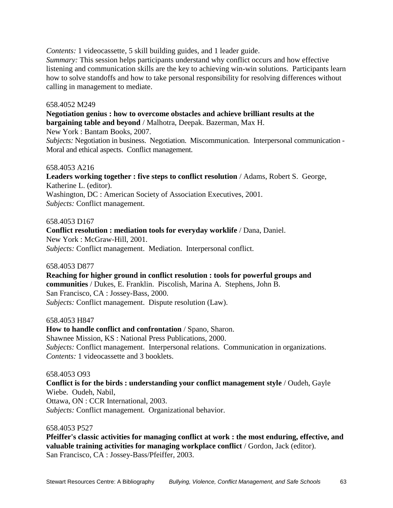*Contents:* 1 videocassette, 5 skill building guides, and 1 leader guide.

*Summary:* This session helps participants understand why conflict occurs and how effective listening and communication skills are the key to achieving win-win solutions. Participants learn how to solve standoffs and how to take personal responsibility for resolving differences without calling in management to mediate.

#### 658.4052 M249

**Negotiation genius : how to overcome obstacles and achieve brilliant results at the bargaining table and beyond** / Malhotra, Deepak. Bazerman, Max H.

New York : Bantam Books, 2007.

*Subjects:* Negotiation in business. Negotiation. Miscommunication. Interpersonal communication - Moral and ethical aspects. Conflict management.

#### 658.4053 A216

**Leaders working together : five steps to conflict resolution** / Adams, Robert S. George, Katherine L. (editor). Washington, DC : American Society of Association Executives, 2001. *Subjects:* Conflict management.

#### 658.4053 D167

**Conflict resolution : mediation tools for everyday worklife** / Dana, Daniel. New York : McGraw-Hill, 2001. *Subjects:* Conflict management. Mediation. Interpersonal conflict.

658.4053 D877

**Reaching for higher ground in conflict resolution : tools for powerful groups and communities** / Dukes, E. Franklin. Piscolish, Marina A. Stephens, John B. San Francisco, CA : Jossey-Bass, 2000. *Subjects:* Conflict management. Dispute resolution (Law).

658.4053 H847

**How to handle conflict and confrontation** / Spano, Sharon. Shawnee Mission, KS : National Press Publications, 2000. *Subjects:* Conflict management. Interpersonal relations. Communication in organizations. *Contents:* 1 videocassette and 3 booklets.

#### 658.4053 O93

**Conflict is for the birds : understanding your conflict management style** / Oudeh, Gayle Wiebe. Oudeh, Nabil, Ottawa, ON : CCR International, 2003. *Subjects:* Conflict management. Organizational behavior.

#### 658.4053 P527

**Pfeiffer's classic activities for managing conflict at work : the most enduring, effective, and valuable training activities for managing workplace conflict** / Gordon, Jack (editor). San Francisco, CA : Jossey-Bass/Pfeiffer, 2003.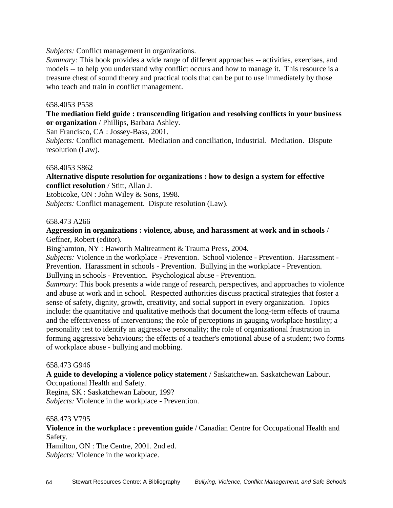*Subjects:* Conflict management in organizations.

*Summary:* This book provides a wide range of different approaches -- activities, exercises, and models -- to help you understand why conflict occurs and how to manage it. This resource is a treasure chest of sound theory and practical tools that can be put to use immediately by those who teach and train in conflict management.

# 658.4053 P558

**The mediation field guide : transcending litigation and resolving conflicts in your business or organization** / Phillips, Barbara Ashley.

San Francisco, CA : Jossey-Bass, 2001.

*Subjects:* Conflict management. Mediation and conciliation, Industrial. Mediation. Dispute resolution (Law).

#### 658.4053 S862

**Alternative dispute resolution for organizations : how to design a system for effective conflict resolution** / Stitt, Allan J.

Etobicoke, ON : John Wiley & Sons, 1998. *Subjects:* Conflict management. Dispute resolution (Law).

#### 658.473 A266

# **Aggression in organizations : violence, abuse, and harassment at work and in schools** / Geffner, Robert (editor).

Binghamton, NY : Haworth Maltreatment & Trauma Press, 2004.

*Subjects:* Violence in the workplace - Prevention. School violence - Prevention. Harassment - Prevention. Harassment in schools - Prevention. Bullying in the workplace - Prevention. Bullying in schools - Prevention. Psychological abuse - Prevention.

*Summary:* This book presents a wide range of research, perspectives, and approaches to violence and abuse at work and in school. Respected authorities discuss practical strategies that foster a sense of safety, dignity, growth, creativity, and social support in every organization. Topics include: the quantitative and qualitative methods that document the long-term effects of trauma and the effectiveness of interventions; the role of perceptions in gauging workplace hostility; a personality test to identify an aggressive personality; the role of organizational frustration in forming aggressive behaviours; the effects of a teacher's emotional abuse of a student; two forms of workplace abuse - bullying and mobbing.

#### 658.473 G946

**A guide to developing a violence policy statement** / Saskatchewan. Saskatchewan Labour. Occupational Health and Safety.

Regina, SK : Saskatchewan Labour, 199?

*Subjects:* Violence in the workplace - Prevention.

#### 658.473 V795

**Violence in the workplace : prevention guide** / Canadian Centre for Occupational Health and Safety.

Hamilton, ON : The Centre, 2001. 2nd ed. *Subjects:* Violence in the workplace.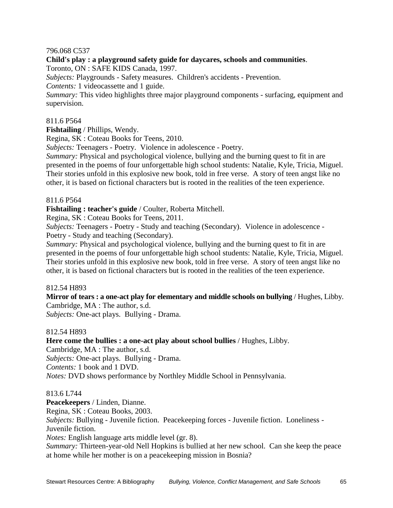# 796.068 C537

**Child's play : a playground safety guide for daycares, schools and communities**. Toronto, ON : SAFE KIDS Canada, 1997. *Subjects:* Playgrounds - Safety measures. Children's accidents - Prevention. *Contents:* 1 videocassette and 1 guide. *Summary:* This video highlights three major playground components - surfacing, equipment and supervision.

#### 811.6 P564

**Fishtailing** / Phillips, Wendy.

Regina, SK : Coteau Books for Teens, 2010.

*Subjects:* Teenagers - Poetry. Violence in adolescence - Poetry.

*Summary:* Physical and psychological violence, bullying and the burning quest to fit in are presented in the poems of four unforgettable high school students: Natalie, Kyle, Tricia, Miguel. Their stories unfold in this explosive new book, told in free verse. A story of teen angst like no other, it is based on fictional characters but is rooted in the realities of the teen experience.

#### 811.6 P564

**Fishtailing : teacher's guide** / Coulter, Roberta Mitchell.

Regina, SK : Coteau Books for Teens, 2011.

*Subjects:* Teenagers - Poetry - Study and teaching (Secondary). Violence in adolescence - Poetry - Study and teaching (Secondary).

*Summary:* Physical and psychological violence, bullying and the burning quest to fit in are presented in the poems of four unforgettable high school students: Natalie, Kyle, Tricia, Miguel. Their stories unfold in this explosive new book, told in free verse. A story of teen angst like no other, it is based on fictional characters but is rooted in the realities of the teen experience.

#### 812.54 H893

**Mirror of tears : a one-act play for elementary and middle schools on bullying** / Hughes, Libby. Cambridge, MA : The author, s.d.

*Subjects:* One-act plays. Bullying - Drama.

#### 812.54 H893

**Here come the bullies : a one-act play about school bullies** / Hughes, Libby. Cambridge, MA : The author, s.d. *Subjects:* One-act plays. Bullying - Drama.

*Contents:* 1 book and 1 DVD.

*Notes:* DVD shows performance by Northley Middle School in Pennsylvania.

#### 813.6 L744

**Peacekeepers** / Linden, Dianne. Regina, SK : Coteau Books, 2003. *Subjects:* Bullying - Juvenile fiction. Peacekeeping forces - Juvenile fiction. Loneliness - Juvenile fiction. *Notes:* English language arts middle level (gr. 8). *Summary:* Thirteen-year-old Nell Hopkins is bullied at her new school. Can she keep the peace

at home while her mother is on a peacekeeping mission in Bosnia?